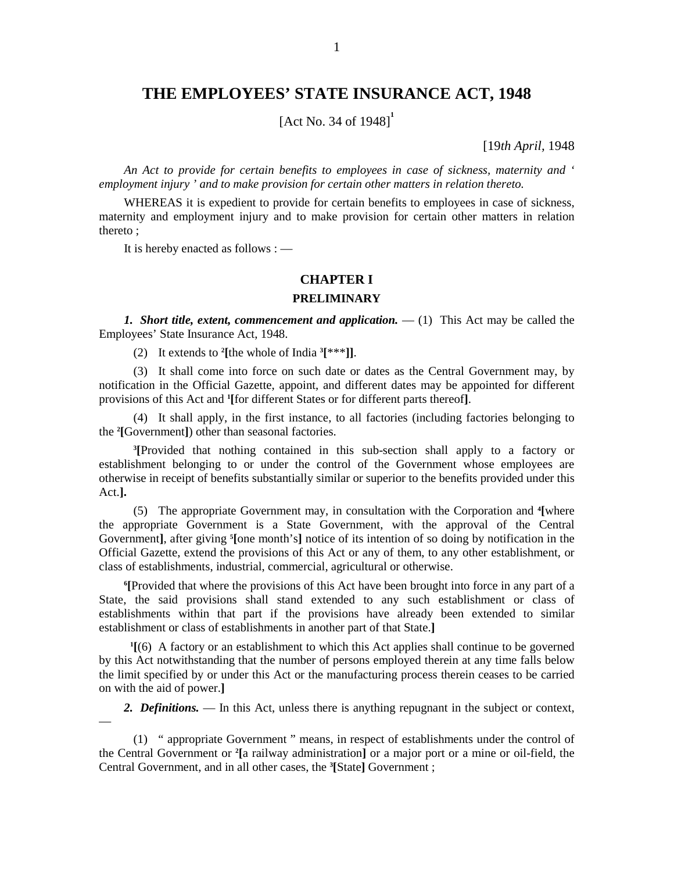# **THE EMPLOYEES' STATE INSURANCE ACT, 1948**

[Act No. 34 of 1948]<sup>1</sup>

[19*th April,* 1948

*An Act to provide for certain benefits to employees in case of sickness, maternity and ' employment injury ' and to make provision for certain other matters in relation thereto.*

WHEREAS it is expedient to provide for certain benefits to employees in case of sickness, maternity and employment injury and to make provision for certain other matters in relation thereto ;

It is hereby enacted as follows : —

—

# **CHAPTER I**

### **PRELIMINARY**

*1. Short title, extent, commencement and application.* — (1) This Act may be called the Employees' State Insurance Act, 1948.

(2) It extends to <sup>2</sup>[the whole of India <sup>3</sup>[\*\*\*]].

(3) It shall come into force on such date or dates as the Central Government may, by notification in the Official Gazette, appoint, and different dates may be appointed for different provisions of this Act and **<sup>1</sup> [**for different States or for different parts thereof**]**.

(4) It shall apply, in the first instance, to all factories (including factories belonging to the **<sup>2</sup> [**Government**]**) other than seasonal factories.

**3 [**Provided that nothing contained in this sub-section shall apply to a factory or establishment belonging to or under the control of the Government whose employees are otherwise in receipt of benefits substantially similar or superior to the benefits provided under this Act.**].**

(5) The appropriate Government may, in consultation with the Corporation and **<sup>4</sup> [**where the appropriate Government is a State Government, with the approval of the Central Government**]**, after giving **<sup>5</sup> [**one month's**]** notice of its intention of so doing by notification in the Official Gazette, extend the provisions of this Act or any of them, to any other establishment, or class of establishments, industrial, commercial, agricultural or otherwise.

**6 [**Provided that where the provisions of this Act have been brought into force in any part of a State, the said provisions shall stand extended to any such establishment or class of establishments within that part if the provisions have already been extended to similar establishment or class of establishments in another part of that State.**]**

**1 [**(6) A factory or an establishment to which this Act applies shall continue to be governed by this Act notwithstanding that the number of persons employed therein at any time falls below the limit specified by or under this Act or the manufacturing process therein ceases to be carried on with the aid of power.**]**

*2. Definitions.* — In this Act, unless there is anything repugnant in the subject or context,

(1) " appropriate Government " means, in respect of establishments under the control of the Central Government or **<sup>2</sup> [**a railway administration**]** or a major port or a mine or oil-field, the Central Government, and in all other cases, the **<sup>3</sup> [**State**]** Government ;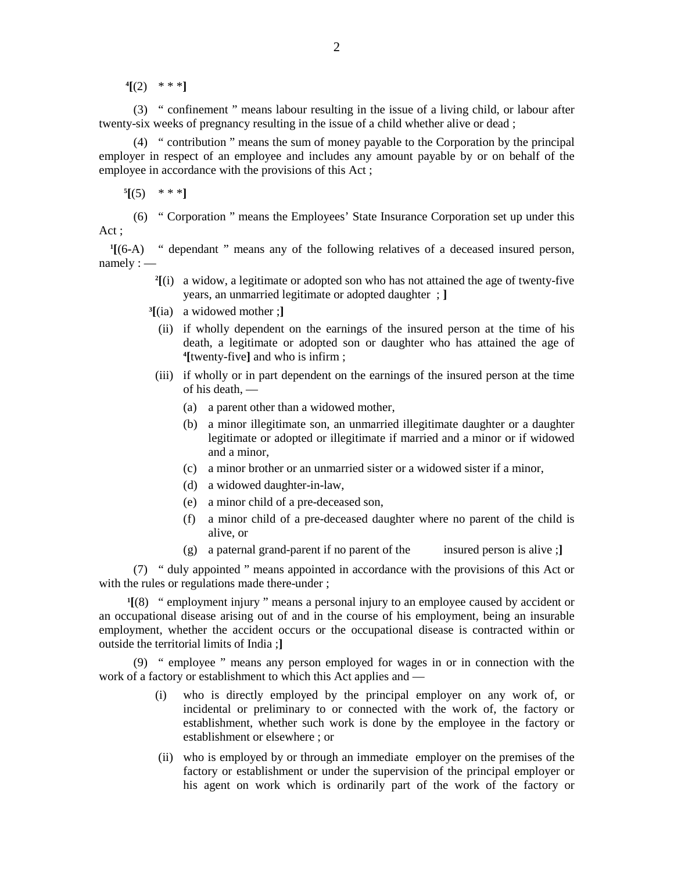**4 [**(2) \* \* \***]**

(3) " confinement " means labour resulting in the issue of a living child, or labour after twenty-six weeks of pregnancy resulting in the issue of a child whether alive or dead ;

(4) " contribution " means the sum of money payable to the Corporation by the principal employer in respect of an employee and includes any amount payable by or on behalf of the employee in accordance with the provisions of this Act ;

**5 [**(5) \* \* \***]**

(6) " Corporation " means the Employees' State Insurance Corporation set up under this Act ;

**1 [**(6-A) " dependant " means any of the following relatives of a deceased insured person, namely : —

- **2 [**(i) a widow, a legitimate or adopted son who has not attained the age of twenty-five years, an unmarried legitimate or adopted daughter ; **]**
- **3 [**(ia) a widowed mother ;**]**
	- (ii) if wholly dependent on the earnings of the insured person at the time of his death, a legitimate or adopted son or daughter who has attained the age of **4 [**twenty-five**]** and who is infirm ;
- (iii) if wholly or in part dependent on the earnings of the insured person at the time of his death, —
	- (a) a parent other than a widowed mother,
	- (b) a minor illegitimate son, an unmarried illegitimate daughter or a daughter legitimate or adopted or illegitimate if married and a minor or if widowed and a minor,
	- (c) a minor brother or an unmarried sister or a widowed sister if a minor,
	- (d) a widowed daughter-in-law,
	- (e) a minor child of a pre-deceased son,
	- (f) a minor child of a pre-deceased daughter where no parent of the child is alive, or
	- (g) a paternal grand-parent if no parent of the insured person is alive ;**]**

(7) " duly appointed " means appointed in accordance with the provisions of this Act or with the rules or regulations made there-under;

**1 [**(8) " employment injury " means a personal injury to an employee caused by accident or an occupational disease arising out of and in the course of his employment, being an insurable employment, whether the accident occurs or the occupational disease is contracted within or outside the territorial limits of India ;**]**

(9) " employee " means any person employed for wages in or in connection with the work of a factory or establishment to which this Act applies and —

- (i) who is directly employed by the principal employer on any work of, or incidental or preliminary to or connected with the work of, the factory or establishment, whether such work is done by the employee in the factory or establishment or elsewhere ; or
- (ii) who is employed by or through an immediate employer on the premises of the factory or establishment or under the supervision of the principal employer or his agent on work which is ordinarily part of the work of the factory or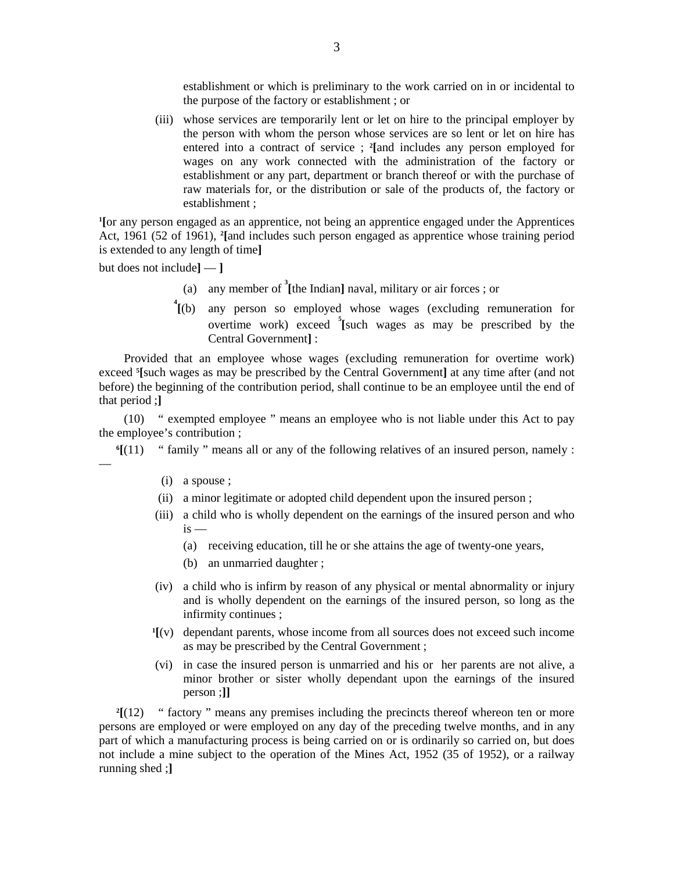establishment or which is preliminary to the work carried on in or incidental to the purpose of the factory or establishment ; or

(iii) whose services are temporarily lent or let on hire to the principal employer by the person with whom the person whose services are so lent or let on hire has entered into a contract of service ; **<sup>2</sup> [**and includes any person employed for wages on any work connected with the administration of the factory or establishment or any part, department or branch thereof or with the purchase of raw materials for, or the distribution or sale of the products of, the factory or establishment ;

**1 [**or any person engaged as an apprentice, not being an apprentice engaged under the Apprentices Act, 1961 (52 of 1961), **<sup>2</sup> [**and includes such person engaged as apprentice whose training period is extended to any length of time**]**

but does not include**]** — **]**

- (a) any member of **<sup>3</sup> [**the Indian**]** naval, military or air forces ; or
- **4 [**(b) any person so employed whose wages (excluding remuneration for overtime work) exceed **<sup>5</sup> [**such wages as may be prescribed by the Central Government**]** :

Provided that an employee whose wages (excluding remuneration for overtime work) exceed **<sup>5</sup> [**such wages as may be prescribed by the Central Government**]** at any time after (and not before) the beginning of the contribution period, shall continue to be an employee until the end of that period ;**]**

(10) " exempted employee " means an employee who is not liable under this Act to pay the employee's contribution ;

**6 [**(11) " family " means all or any of the following relatives of an insured person, namely :

(i) a spouse ;

—

- (ii) a minor legitimate or adopted child dependent upon the insured person ;
- (iii) a child who is wholly dependent on the earnings of the insured person and who  $is -$ 
	- (a) receiving education, till he or she attains the age of twenty-one years,
	- (b) an unmarried daughter ;
- (iv) a child who is infirm by reason of any physical or mental abnormality or injury and is wholly dependent on the earnings of the insured person, so long as the infirmity continues ;
- **1 [**(v) dependant parents, whose income from all sources does not exceed such income as may be prescribed by the Central Government ;
- (vi) in case the insured person is unmarried and his or her parents are not alive, a minor brother or sister wholly dependant upon the earnings of the insured person ;**]]**

**2 [**(12) " factory " means any premises including the precincts thereof whereon ten or more persons are employed or were employed on any day of the preceding twelve months, and in any part of which a manufacturing process is being carried on or is ordinarily so carried on, but does not include a mine subject to the operation of the Mines Act, 1952 (35 of 1952), or a railway running shed ;**]**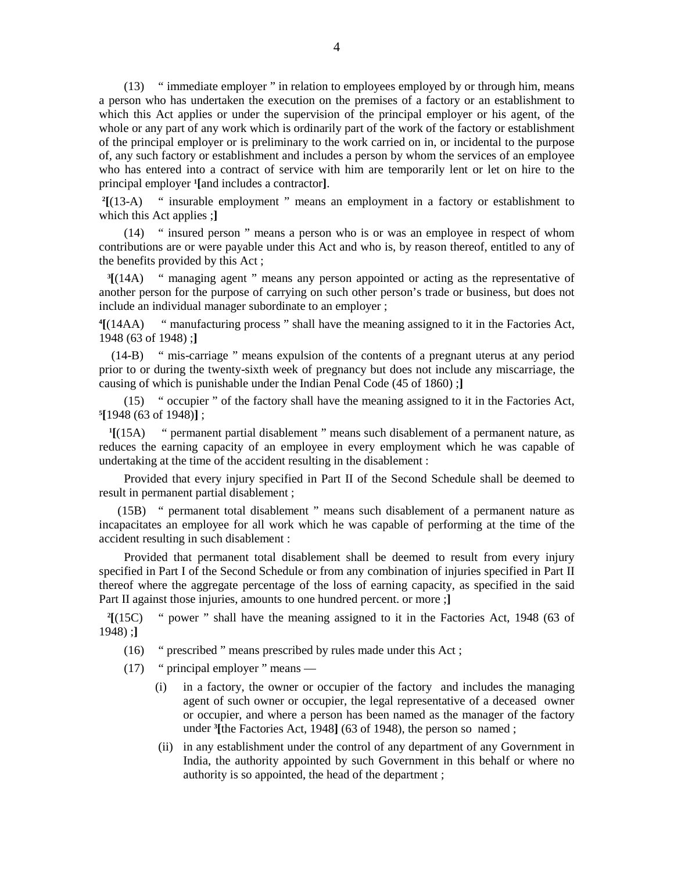(13) " immediate employer " in relation to employees employed by or through him, means a person who has undertaken the execution on the premises of a factory or an establishment to which this Act applies or under the supervision of the principal employer or his agent, of the whole or any part of any work which is ordinarily part of the work of the factory or establishment of the principal employer or is preliminary to the work carried on in, or incidental to the purpose of, any such factory or establishment and includes a person by whom the services of an employee who has entered into a contract of service with him are temporarily lent or let on hire to the principal employer **<sup>1</sup> [**and includes a contractor**]**.

 $^{2}$ [(13-A) " insurable employment " means an employment in a factory or establishment to which this Act applies ;**]**

(14) " insured person " means a person who is or was an employee in respect of whom contributions are or were payable under this Act and who is, by reason thereof, entitled to any of the benefits provided by this Act ;

<sup>3</sup>[(14A) " managing agent " means any person appointed or acting as the representative of another person for the purpose of carrying on such other person's trade or business, but does not include an individual manager subordinate to an employer ;

 $4(14AA)$ **[**(14AA) " manufacturing process " shall have the meaning assigned to it in the Factories Act, 1948 (63 of 1948) ;**]**

(14-B) " mis-carriage " means expulsion of the contents of a pregnant uterus at any period prior to or during the twenty-sixth week of pregnancy but does not include any miscarriage, the causing of which is punishable under the Indian Penal Code (45 of 1860) ;**]**

(15) " occupier " of the factory shall have the meaning assigned to it in the Factories Act, **5 [**1948 (63 of 1948)**]** ;

 $\frac{1}{1}(15A)$ **[**(15A) " permanent partial disablement " means such disablement of a permanent nature, as reduces the earning capacity of an employee in every employment which he was capable of undertaking at the time of the accident resulting in the disablement :

Provided that every injury specified in Part II of the Second Schedule shall be deemed to result in permanent partial disablement ;

 (15B) " permanent total disablement " means such disablement of a permanent nature as incapacitates an employee for all work which he was capable of performing at the time of the accident resulting in such disablement :

Provided that permanent total disablement shall be deemed to result from every injury specified in Part I of the Second Schedule or from any combination of injuries specified in Part II thereof where the aggregate percentage of the loss of earning capacity, as specified in the said Part II against those injuries, amounts to one hundred percent. or more ;**]**

 $^{2}$ [(15C) **[**(15C) " power " shall have the meaning assigned to it in the Factories Act, 1948 (63 of 1948) ;**]**

- (16) " prescribed " means prescribed by rules made under this Act ;
- (17) " principal employer " means
	- (i) in a factory, the owner or occupier of the factory and includes the managing agent of such owner or occupier, the legal representative of a deceased owner or occupier, and where a person has been named as the manager of the factory under **<sup>3</sup> [**the Factories Act, 1948**]** (63 of 1948), the person so named ;
	- (ii) in any establishment under the control of any department of any Government in India, the authority appointed by such Government in this behalf or where no authority is so appointed, the head of the department ;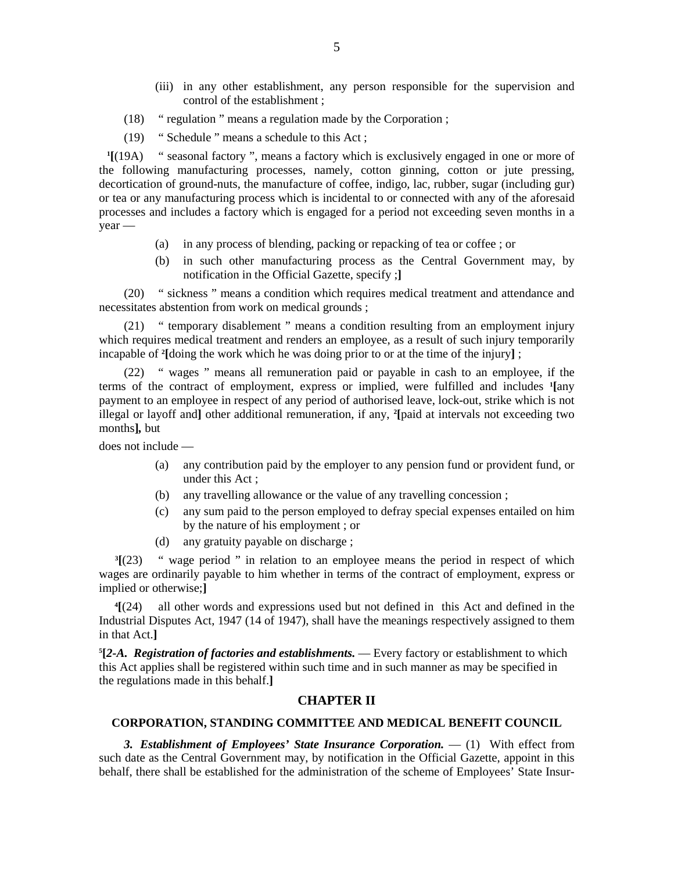- (iii) in any other establishment, any person responsible for the supervision and control of the establishment ;
- (18) " regulation " means a regulation made by the Corporation ;
- (19) " Schedule " means a schedule to this Act ;

**1 [**(19A) " seasonal factory ", means a factory which is exclusively engaged in one or more of the following manufacturing processes, namely, cotton ginning, cotton or jute pressing, decortication of ground-nuts, the manufacture of coffee, indigo, lac, rubber, sugar (including gur) or tea or any manufacturing process which is incidental to or connected with any of the aforesaid processes and includes a factory which is engaged for a period not exceeding seven months in a year —

- (a) in any process of blending, packing or repacking of tea or coffee ; or
- (b) in such other manufacturing process as the Central Government may, by notification in the Official Gazette, specify ;**]**

(20) " sickness " means a condition which requires medical treatment and attendance and necessitates abstention from work on medical grounds ;

(21) " temporary disablement " means a condition resulting from an employment injury which requires medical treatment and renders an employee, as a result of such injury temporarily incapable of **<sup>2</sup> [**doing the work which he was doing prior to or at the time of the injury**]** ;

(22) " wages " means all remuneration paid or payable in cash to an employee, if the terms of the contract of employment, express or implied, were fulfilled and includes **<sup>1</sup> [**any payment to an employee in respect of any period of authorised leave, lock-out, strike which is not illegal or layoff and**]** other additional remuneration, if any, **<sup>2</sup> [**paid at intervals not exceeding two months**]***,* but

does not include —

- (a) any contribution paid by the employer to any pension fund or provident fund, or under this Act ;
- (b) any travelling allowance or the value of any travelling concession ;
- (c) any sum paid to the person employed to defray special expenses entailed on him by the nature of his employment ; or
- (d) any gratuity payable on discharge ;

 $\frac{3}{2}(23)$ **[**(23) " wage period " in relation to an employee means the period in respect of which wages are ordinarily payable to him whether in terms of the contract of employment, express or implied or otherwise;**]**

 $4[(24)]$ **[**(24) all other words and expressions used but not defined in this Act and defined in the Industrial Disputes Act, 1947 (14 of 1947), shall have the meanings respectively assigned to them in that Act.**]**

**5 [***2-A. Registration of factories and establishments.* — Every factory or establishment to which this Act applies shall be registered within such time and in such manner as may be specified in the regulations made in this behalf.**]**

#### **CHAPTER II**

## **CORPORATION, STANDING COMMITTEE AND MEDICAL BENEFIT COUNCIL**

*3. Establishment of Employees' State Insurance Corporation.* — (1) With effect from such date as the Central Government may, by notification in the Official Gazette, appoint in this behalf, there shall be established for the administration of the scheme of Employees' State Insur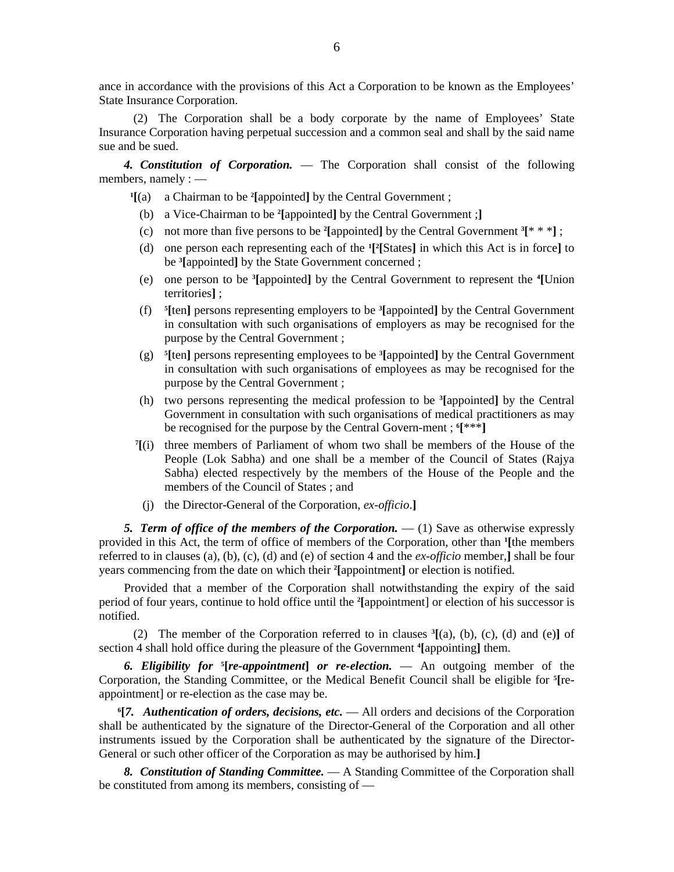ance in accordance with the provisions of this Act a Corporation to be known as the Employees' State Insurance Corporation.

(2) The Corporation shall be a body corporate by the name of Employees' State Insurance Corporation having perpetual succession and a common seal and shall by the said name sue and be sued.

*4. Constitution of Corporation.* — The Corporation shall consist of the following members, namely : —

- **1 [**(a) a Chairman to be **<sup>2</sup> [**appointed**]** by the Central Government ;
	- (b) a Vice-Chairman to be **<sup>2</sup> [**appointed**]** by the Central Government ;**]**
	- (c) not more than five persons to be <sup>2</sup>[appointed] by the Central Government  ${}^3[$ <sup>\*</sup> \* \* ];
	- (d) one person each representing each of the **<sup>1</sup> [2 [**States**]** in which this Act is in force**]** to be **<sup>3</sup> [**appointed**]** by the State Government concerned ;
	- (e) one person to be **<sup>3</sup> [**appointed**]** by the Central Government to represent the **<sup>4</sup> [**Union territories**]** ;
	- (f) **<sup>5</sup> [**ten**]** persons representing employers to be **<sup>3</sup> [**appointed**]** by the Central Government in consultation with such organisations of employers as may be recognised for the purpose by the Central Government ;
	- (g) **<sup>5</sup> [**ten**]** persons representing employees to be **<sup>3</sup> [**appointed**]** by the Central Government in consultation with such organisations of employees as may be recognised for the purpose by the Central Government ;
	- (h) two persons representing the medical profession to be **<sup>3</sup> [**appointed**]** by the Central Government in consultation with such organisations of medical practitioners as may be recognised for the purpose by the Central Govern-ment ; **<sup>6</sup> [**\*\*\***]**
- **7 [**(i) three members of Parliament of whom two shall be members of the House of the People (Lok Sabha) and one shall be a member of the Council of States (Rajya Sabha) elected respectively by the members of the House of the People and the members of the Council of States ; and
	- (j) the Director-General of the Corporation, *ex-officio*.**]**

*5. Term of office of the members of the Corporation.* — (1) Save as otherwise expressly provided in this Act, the term of office of members of the Corporation, other than **<sup>1</sup> [**the members referred to in clauses (a), (b), (c), (d) and (e) of section 4 and the *ex-officio* member,**]** shall be four years commencing from the date on which their **<sup>2</sup> [**appointment**]** or election is notified.

Provided that a member of the Corporation shall notwithstanding the expiry of the said period of four years, continue to hold office until the **<sup>2</sup> [**appointment] or election of his successor is notified.

(2) The member of the Corporation referred to in clauses **<sup>3</sup> [**(a), (b), (c), (d) and (e)**]** of section 4 shall hold office during the pleasure of the Government **<sup>4</sup> [**appointing**]** them.

*6. Eligibility for* **<sup>5</sup> [***re-appointment***]** *or re-election.* — An outgoing member of the Corporation, the Standing Committee, or the Medical Benefit Council shall be eligible for **<sup>5</sup> [**reappointment] or re-election as the case may be.

**6 [***7. Authentication of orders, decisions, etc.* — All orders and decisions of the Corporation shall be authenticated by the signature of the Director-General of the Corporation and all other instruments issued by the Corporation shall be authenticated by the signature of the Director-General or such other officer of the Corporation as may be authorised by him.**]**

*8. Constitution of Standing Committee.* — A Standing Committee of the Corporation shall be constituted from among its members, consisting of —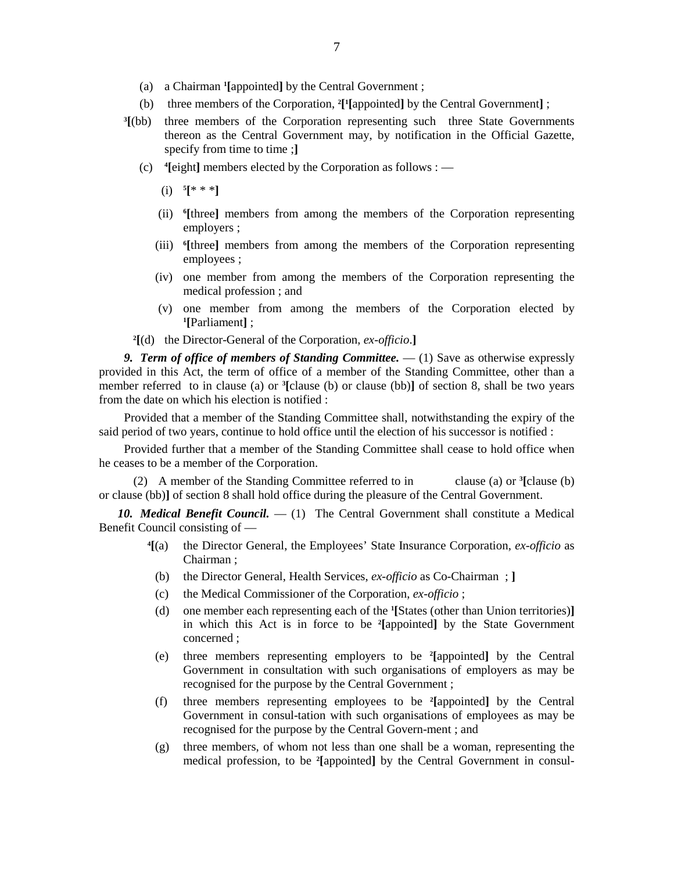- (a) a Chairman **<sup>1</sup> [**appointed**]** by the Central Government ;
- (b) three members of the Corporation, **<sup>2</sup> [1 [**appointed**]** by the Central Government**]** ;
- **3 [**(bb) three members of the Corporation representing such three State Governments thereon as the Central Government may, by notification in the Official Gazette, specify from time to time ;**]**
	- (c) **<sup>4</sup> [**eight**]** members elected by the Corporation as follows :
		- (i) **<sup>5</sup> [**\* \* \***]**
		- (ii) **<sup>6</sup> [**three**]** members from among the members of the Corporation representing employers ;
		- (iii) **<sup>6</sup> [**three**]** members from among the members of the Corporation representing employees ;
		- (iv) one member from among the members of the Corporation representing the medical profession ; and
		- (v) one member from among the members of the Corporation elected by **1 [**Parliament**]** ;

**2 [**(d) the Director-General of the Corporation, *ex-officio*.**]**

*9. Term of office of members of Standing Committee.* — (1) Save as otherwise expressly provided in this Act, the term of office of a member of the Standing Committee, other than a member referred to in clause (a) or <sup>3</sup>[clause (b) or clause (bb)] of section 8, shall be two years from the date on which his election is notified :

Provided that a member of the Standing Committee shall, notwithstanding the expiry of the said period of two years, continue to hold office until the election of his successor is notified :

Provided further that a member of the Standing Committee shall cease to hold office when he ceases to be a member of the Corporation.

(2) A member of the Standing Committee referred to in clause (a) or  $^3$ [clause (b) or clause (bb)**]** of section 8 shall hold office during the pleasure of the Central Government.

*10. Medical Benefit Council.* — (1) The Central Government shall constitute a Medical Benefit Council consisting of —

- $4(a)$ **[**(a) the Director General, the Employees' State Insurance Corporation, *ex-officio* as Chairman ;
- (b) the Director General, Health Services, *ex-officio* as Co-Chairman ; **]**
- (c) the Medical Commissioner of the Corporation, *ex-officio* ;
- (d) one member each representing each of the **<sup>1</sup> [**States (other than Union territories)**]** in which this Act is in force to be **<sup>2</sup> [**appointed**]** by the State Government concerned ;
- (e) three members representing employers to be **<sup>2</sup> [**appointed**]** by the Central Government in consultation with such organisations of employers as may be recognised for the purpose by the Central Government ;
- (f) three members representing employees to be **<sup>2</sup> [**appointed**]** by the Central Government in consul-tation with such organisations of employees as may be recognised for the purpose by the Central Govern-ment ; and
- (g) three members, of whom not less than one shall be a woman, representing the medical profession, to be **<sup>2</sup> [**appointed**]** by the Central Government in consul-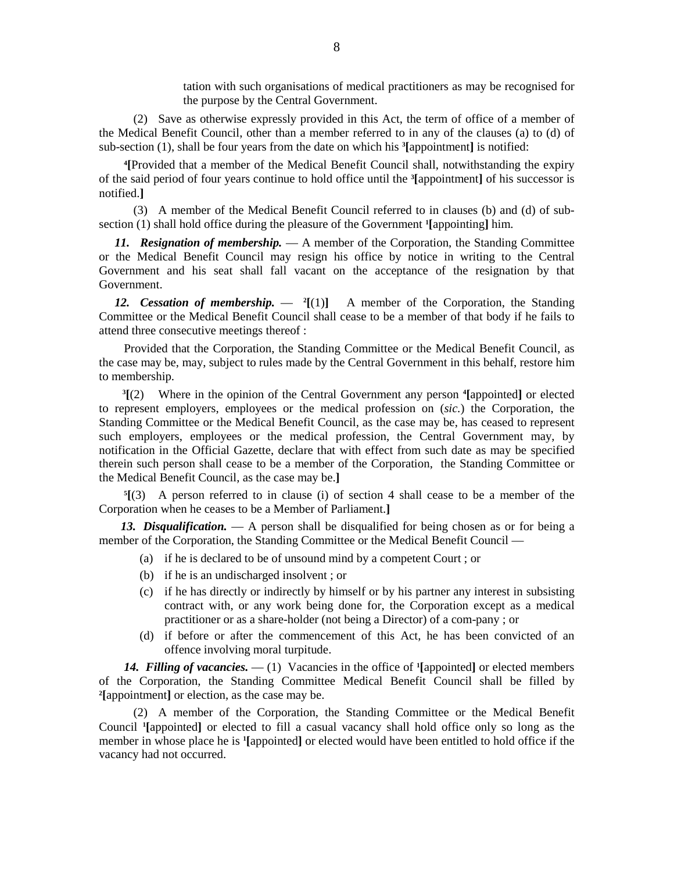tation with such organisations of medical practitioners as may be recognised for the purpose by the Central Government.

(2) Save as otherwise expressly provided in this Act, the term of office of a member of the Medical Benefit Council, other than a member referred to in any of the clauses (a) to (d) of sub-section (1), shall be four years from the date on which his **<sup>3</sup> [**appointment**]** is notified:

**4 [**Provided that a member of the Medical Benefit Council shall, notwithstanding the expiry of the said period of four years continue to hold office until the **<sup>3</sup> [**appointment**]** of his successor is notified.**]**

(3) A member of the Medical Benefit Council referred to in clauses (b) and (d) of subsection (1) shall hold office during the pleasure of the Government **<sup>1</sup> [**appointing**]** him.

*11. Resignation of membership.* — A member of the Corporation, the Standing Committee or the Medical Benefit Council may resign his office by notice in writing to the Central Government and his seat shall fall vacant on the acceptance of the resignation by that Government.

12. Cessation of membership.  $-$  <sup>2</sup>[(1)] **[**(1)**]** A member of the Corporation, the Standing Committee or the Medical Benefit Council shall cease to be a member of that body if he fails to attend three consecutive meetings thereof :

Provided that the Corporation, the Standing Committee or the Medical Benefit Council, as the case may be, may, subject to rules made by the Central Government in this behalf, restore him to membership.

 ${}^{3}$ [(2) **[**(2) Where in the opinion of the Central Government any person **<sup>4</sup> [**appointed**]** or elected to represent employers, employees or the medical profession on (*sic.*) the Corporation, the Standing Committee or the Medical Benefit Council, as the case may be, has ceased to represent such employers, employees or the medical profession, the Central Government may, by notification in the Official Gazette, declare that with effect from such date as may be specified therein such person shall cease to be a member of the Corporation, the Standing Committee or the Medical Benefit Council, as the case may be.**]**

**5 [**(3) A person referred to in clause (i) of section 4 shall cease to be a member of the Corporation when he ceases to be a Member of Parliament.**]**

*13. Disqualification.* — A person shall be disqualified for being chosen as or for being a member of the Corporation, the Standing Committee or the Medical Benefit Council —

- (a) if he is declared to be of unsound mind by a competent Court ; or
- (b) if he is an undischarged insolvent ; or
- (c) if he has directly or indirectly by himself or by his partner any interest in subsisting contract with, or any work being done for, the Corporation except as a medical practitioner or as a share-holder (not being a Director) of a com-pany ; or
- (d) if before or after the commencement of this Act, he has been convicted of an offence involving moral turpitude.

*14. Filling of vacancies.* — (1) Vacancies in the office of **<sup>1</sup> [**appointed**]** or elected members of the Corporation, the Standing Committee Medical Benefit Council shall be filled by **2 [**appointment**]** or election, as the case may be.

(2) A member of the Corporation, the Standing Committee or the Medical Benefit Council **<sup>1</sup> [**appointed**]** or elected to fill a casual vacancy shall hold office only so long as the member in whose place he is **<sup>1</sup> [**appointed**]** or elected would have been entitled to hold office if the vacancy had not occurred.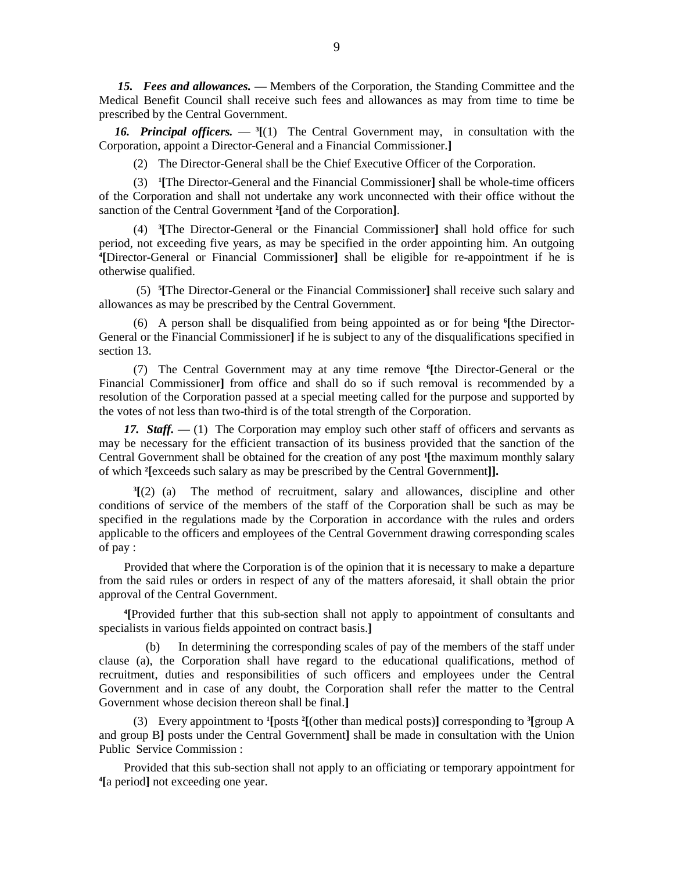*15. Fees and allowances.* — Members of the Corporation, the Standing Committee and the Medical Benefit Council shall receive such fees and allowances as may from time to time be prescribed by the Central Government.

*16. Principal officers.* — **<sup>3</sup> [**(1) The Central Government may, in consultation with the Corporation, appoint a Director-General and a Financial Commissioner.**]**

(2) The Director-General shall be the Chief Executive Officer of the Corporation.

(3) **<sup>1</sup> [**The Director-General and the Financial Commissioner**]** shall be whole-time officers of the Corporation and shall not undertake any work unconnected with their office without the sanction of the Central Government **<sup>2</sup> [**and of the Corporation**]**.

(4) **<sup>3</sup> [**The Director-General or the Financial Commissioner**]** shall hold office for such period, not exceeding five years, as may be specified in the order appointing him. An outgoing **4 [**Director-General or Financial Commissioner**]** shall be eligible for re-appointment if he is otherwise qualified.

(5) **<sup>5</sup> [**The Director-General or the Financial Commissioner**]** shall receive such salary and allowances as may be prescribed by the Central Government.

(6) A person shall be disqualified from being appointed as or for being **<sup>6</sup> [**the Director-General or the Financial Commissioner**]** if he is subject to any of the disqualifications specified in section 13.

(7) The Central Government may at any time remove **<sup>6</sup> [**the Director-General or the Financial Commissioner**]** from office and shall do so if such removal is recommended by a resolution of the Corporation passed at a special meeting called for the purpose and supported by the votes of not less than two-third is of the total strength of the Corporation.

17. Staff.  $- (1)$  The Corporation may employ such other staff of officers and servants as may be necessary for the efficient transaction of its business provided that the sanction of the Central Government shall be obtained for the creation of any post **<sup>1</sup> [**the maximum monthly salary of which **<sup>2</sup> [**exceeds such salary as may be prescribed by the Central Government**]].**

**3 [**(2) (a) The method of recruitment, salary and allowances, discipline and other conditions of service of the members of the staff of the Corporation shall be such as may be specified in the regulations made by the Corporation in accordance with the rules and orders applicable to the officers and employees of the Central Government drawing corresponding scales of pay :

Provided that where the Corporation is of the opinion that it is necessary to make a departure from the said rules or orders in respect of any of the matters aforesaid, it shall obtain the prior approval of the Central Government.

**4 [**Provided further that this sub-section shall not apply to appointment of consultants and specialists in various fields appointed on contract basis.**]**

(b) In determining the corresponding scales of pay of the members of the staff under clause (a), the Corporation shall have regard to the educational qualifications, method of recruitment, duties and responsibilities of such officers and employees under the Central Government and in case of any doubt, the Corporation shall refer the matter to the Central Government whose decision thereon shall be final.**]**

(3) Every appointment to **<sup>1</sup> [**posts **<sup>2</sup> [**(other than medical posts)**]** corresponding to **<sup>3</sup> [**group A and group B**]** posts under the Central Government**]** shall be made in consultation with the Union Public Service Commission :

Provided that this sub-section shall not apply to an officiating or temporary appointment for **4 [**a period**]** not exceeding one year.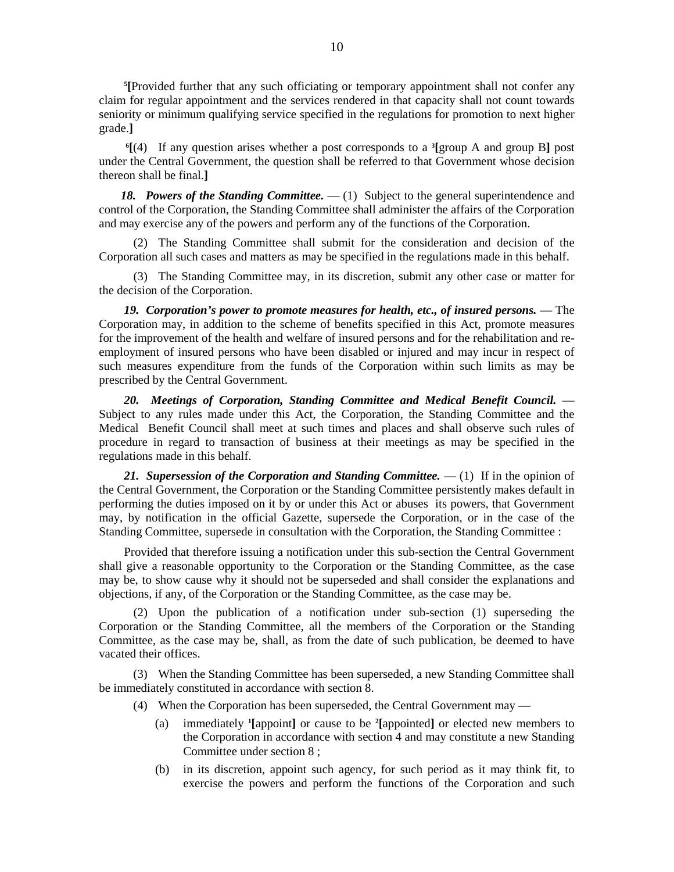**5 [**Provided further that any such officiating or temporary appointment shall not confer any claim for regular appointment and the services rendered in that capacity shall not count towards seniority or minimum qualifying service specified in the regulations for promotion to next higher grade.**]**

**6 [**(4) If any question arises whether a post corresponds to a **<sup>3</sup> [**group A and group B**]** post under the Central Government, the question shall be referred to that Government whose decision thereon shall be final.**]**

*18. Powers of the Standing Committee.* — (1) Subject to the general superintendence and control of the Corporation, the Standing Committee shall administer the affairs of the Corporation and may exercise any of the powers and perform any of the functions of the Corporation.

(2) The Standing Committee shall submit for the consideration and decision of the Corporation all such cases and matters as may be specified in the regulations made in this behalf.

(3) The Standing Committee may, in its discretion, submit any other case or matter for the decision of the Corporation.

19. Corporation's power to promote measures for health, etc., of insured persons. — The Corporation may, in addition to the scheme of benefits specified in this Act, promote measures for the improvement of the health and welfare of insured persons and for the rehabilitation and reemployment of insured persons who have been disabled or injured and may incur in respect of such measures expenditure from the funds of the Corporation within such limits as may be prescribed by the Central Government.

*20. Meetings of Corporation, Standing Committee and Medical Benefit Council.* — Subject to any rules made under this Act, the Corporation, the Standing Committee and the Medical Benefit Council shall meet at such times and places and shall observe such rules of procedure in regard to transaction of business at their meetings as may be specified in the regulations made in this behalf.

*21. Supersession of the Corporation and Standing Committee.* — (1) If in the opinion of the Central Government, the Corporation or the Standing Committee persistently makes default in performing the duties imposed on it by or under this Act or abuses its powers, that Government may, by notification in the official Gazette, supersede the Corporation, or in the case of the Standing Committee, supersede in consultation with the Corporation, the Standing Committee :

Provided that therefore issuing a notification under this sub-section the Central Government shall give a reasonable opportunity to the Corporation or the Standing Committee, as the case may be, to show cause why it should not be superseded and shall consider the explanations and objections, if any, of the Corporation or the Standing Committee, as the case may be.

(2) Upon the publication of a notification under sub-section (1) superseding the Corporation or the Standing Committee, all the members of the Corporation or the Standing Committee, as the case may be, shall, as from the date of such publication, be deemed to have vacated their offices.

(3) When the Standing Committee has been superseded, a new Standing Committee shall be immediately constituted in accordance with section 8.

- (4) When the Corporation has been superseded, the Central Government may
	- (a) immediately **<sup>1</sup> [**appoint**]** or cause to be **<sup>2</sup> [**appointed**]** or elected new members to the Corporation in accordance with section 4 and may constitute a new Standing Committee under section 8 ;
	- (b) in its discretion, appoint such agency, for such period as it may think fit, to exercise the powers and perform the functions of the Corporation and such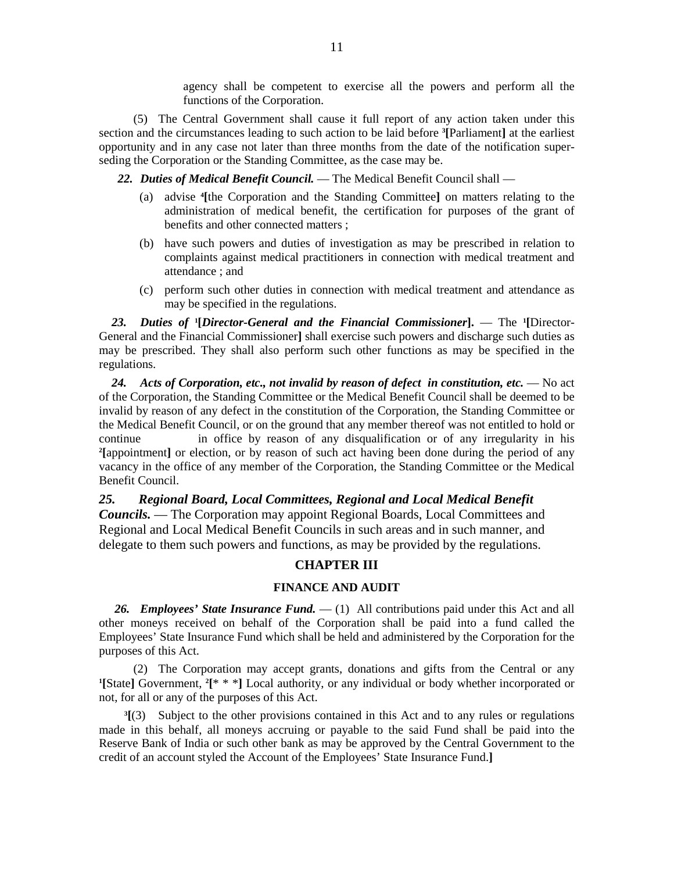agency shall be competent to exercise all the powers and perform all the functions of the Corporation.

(5) The Central Government shall cause it full report of any action taken under this section and the circumstances leading to such action to be laid before **<sup>3</sup> [**Parliament**]** at the earliest opportunity and in any case not later than three months from the date of the notification superseding the Corporation or the Standing Committee, as the case may be.

*22. Duties of Medical Benefit Council.* — The Medical Benefit Council shall —

- (a) advise **<sup>4</sup> [**the Corporation and the Standing Committee**]** on matters relating to the administration of medical benefit, the certification for purposes of the grant of benefits and other connected matters ;
- (b) have such powers and duties of investigation as may be prescribed in relation to complaints against medical practitioners in connection with medical treatment and attendance ; and
- (c) perform such other duties in connection with medical treatment and attendance as may be specified in the regulations.

*23. Duties of* **<sup>1</sup> [***Director-General and the Financial Commissioner***].** — The **<sup>1</sup> [**Director-General and the Financial Commissioner**]** shall exercise such powers and discharge such duties as may be prescribed. They shall also perform such other functions as may be specified in the regulations.

*24. Acts of Corporation, etc., not invalid by reason of defect in constitution, etc.* — No act of the Corporation, the Standing Committee or the Medical Benefit Council shall be deemed to be invalid by reason of any defect in the constitution of the Corporation, the Standing Committee or the Medical Benefit Council, or on the ground that any member thereof was not entitled to hold or continue in office by reason of any disqualification or of any irregularity in his **2 [**appointment**]** or election, or by reason of such act having been done during the period of any vacancy in the office of any member of the Corporation, the Standing Committee or the Medical Benefit Council.

*25. Regional Board, Local Committees, Regional and Local Medical Benefit Councils.* — The Corporation may appoint Regional Boards, Local Committees and Regional and Local Medical Benefit Councils in such areas and in such manner, and delegate to them such powers and functions, as may be provided by the regulations.

# **CHAPTER III**

### **FINANCE AND AUDIT**

*26. Employees' State Insurance Fund.* — (1) All contributions paid under this Act and all other moneys received on behalf of the Corporation shall be paid into a fund called the Employees' State Insurance Fund which shall be held and administered by the Corporation for the purposes of this Act.

(2) The Corporation may accept grants, donations and gifts from the Central or any **1 [**State**]** Government, **<sup>2</sup> [**\* \* \***]** Local authority, or any individual or body whether incorporated or not, for all or any of the purposes of this Act.

 **3 [**(3) Subject to the other provisions contained in this Act and to any rules or regulations made in this behalf, all moneys accruing or payable to the said Fund shall be paid into the Reserve Bank of India or such other bank as may be approved by the Central Government to the credit of an account styled the Account of the Employees' State Insurance Fund.**]**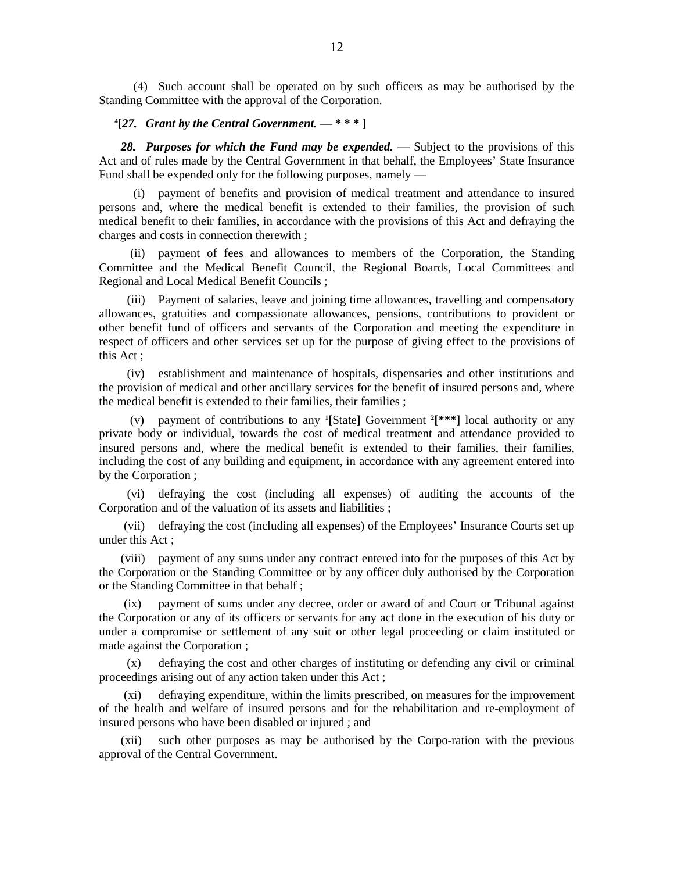(4) Such account shall be operated on by such officers as may be authorised by the Standing Committee with the approval of the Corporation.

## **4 [***27. Grant by the Central Government.* — **\* \* \* ]**

*28. Purposes for which the Fund may be expended.* — Subject to the provisions of this Act and of rules made by the Central Government in that behalf, the Employees' State Insurance Fund shall be expended only for the following purposes, namely —

(i) payment of benefits and provision of medical treatment and attendance to insured persons and, where the medical benefit is extended to their families, the provision of such medical benefit to their families, in accordance with the provisions of this Act and defraying the charges and costs in connection therewith ;

(ii) payment of fees and allowances to members of the Corporation, the Standing Committee and the Medical Benefit Council, the Regional Boards, Local Committees and Regional and Local Medical Benefit Councils ;

(iii) Payment of salaries, leave and joining time allowances, travelling and compensatory allowances, gratuities and compassionate allowances, pensions, contributions to provident or other benefit fund of officers and servants of the Corporation and meeting the expenditure in respect of officers and other services set up for the purpose of giving effect to the provisions of this Act ;

(iv) establishment and maintenance of hospitals, dispensaries and other institutions and the provision of medical and other ancillary services for the benefit of insured persons and, where the medical benefit is extended to their families, their families ;

 (v) payment of contributions to any **<sup>1</sup> [**State**]** Government **<sup>2</sup> [\*\*\*]** local authority or any private body or individual, towards the cost of medical treatment and attendance provided to insured persons and, where the medical benefit is extended to their families, their families, including the cost of any building and equipment, in accordance with any agreement entered into by the Corporation ;

(vi) defraying the cost (including all expenses) of auditing the accounts of the Corporation and of the valuation of its assets and liabilities ;

(vii) defraying the cost (including all expenses) of the Employees' Insurance Courts set up under this Act ;

(viii) payment of any sums under any contract entered into for the purposes of this Act by the Corporation or the Standing Committee or by any officer duly authorised by the Corporation or the Standing Committee in that behalf ;

 (ix) payment of sums under any decree, order or award of and Court or Tribunal against the Corporation or any of its officers or servants for any act done in the execution of his duty or under a compromise or settlement of any suit or other legal proceeding or claim instituted or made against the Corporation ;

 (x) defraying the cost and other charges of instituting or defending any civil or criminal proceedings arising out of any action taken under this Act ;

defraying expenditure, within the limits prescribed, on measures for the improvement of the health and welfare of insured persons and for the rehabilitation and re-employment of insured persons who have been disabled or injured ; and

(xii) such other purposes as may be authorised by the Corpo-ration with the previous approval of the Central Government.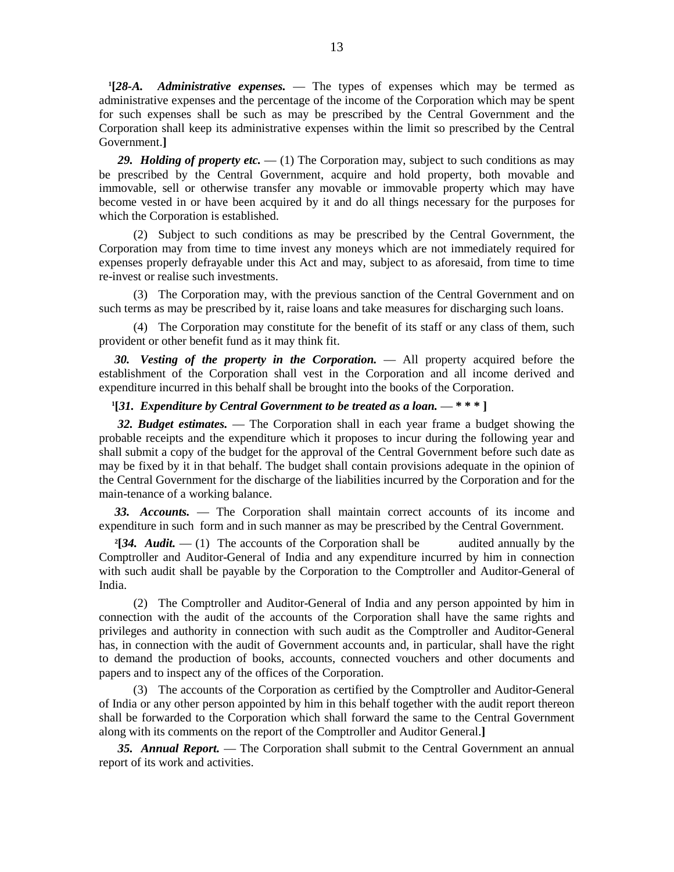**1 [***28-A. Administrative expenses.* — The types of expenses which may be termed as administrative expenses and the percentage of the income of the Corporation which may be spent for such expenses shall be such as may be prescribed by the Central Government and the Corporation shall keep its administrative expenses within the limit so prescribed by the Central Government.**]**

*29. Holding of property etc.* — (1) The Corporation may, subject to such conditions as may be prescribed by the Central Government, acquire and hold property, both movable and immovable, sell or otherwise transfer any movable or immovable property which may have become vested in or have been acquired by it and do all things necessary for the purposes for which the Corporation is established.

(2) Subject to such conditions as may be prescribed by the Central Government, the Corporation may from time to time invest any moneys which are not immediately required for expenses properly defrayable under this Act and may, subject to as aforesaid, from time to time re-invest or realise such investments.

(3) The Corporation may, with the previous sanction of the Central Government and on such terms as may be prescribed by it, raise loans and take measures for discharging such loans.

(4) The Corporation may constitute for the benefit of its staff or any class of them, such provident or other benefit fund as it may think fit.

*30. Vesting of the property in the Corporation.* — All property acquired before the establishment of the Corporation shall vest in the Corporation and all income derived and expenditure incurred in this behalf shall be brought into the books of the Corporation.

#### **1 [***31. Expenditure by Central Government to be treated as a loan.* — **\* \* \* ]**

*32. Budget estimates.* — The Corporation shall in each year frame a budget showing the probable receipts and the expenditure which it proposes to incur during the following year and shall submit a copy of the budget for the approval of the Central Government before such date as may be fixed by it in that behalf. The budget shall contain provisions adequate in the opinion of the Central Government for the discharge of the liabilities incurred by the Corporation and for the main-tenance of a working balance.

*33. Accounts.* — The Corporation shall maintain correct accounts of its income and expenditure in such form and in such manner as may be prescribed by the Central Government.

 $2[34. \text{ *Audio* ]$  and The accounts of the Corporation shall be audited annually by the Comptroller and Auditor-General of India and any expenditure incurred by him in connection with such audit shall be payable by the Corporation to the Comptroller and Auditor-General of India.

(2) The Comptroller and Auditor-General of India and any person appointed by him in connection with the audit of the accounts of the Corporation shall have the same rights and privileges and authority in connection with such audit as the Comptroller and Auditor-General has, in connection with the audit of Government accounts and, in particular, shall have the right to demand the production of books, accounts, connected vouchers and other documents and papers and to inspect any of the offices of the Corporation.

(3) The accounts of the Corporation as certified by the Comptroller and Auditor-General of India or any other person appointed by him in this behalf together with the audit report thereon shall be forwarded to the Corporation which shall forward the same to the Central Government along with its comments on the report of the Comptroller and Auditor General.**]**

*35. Annual Report.* — The Corporation shall submit to the Central Government an annual report of its work and activities.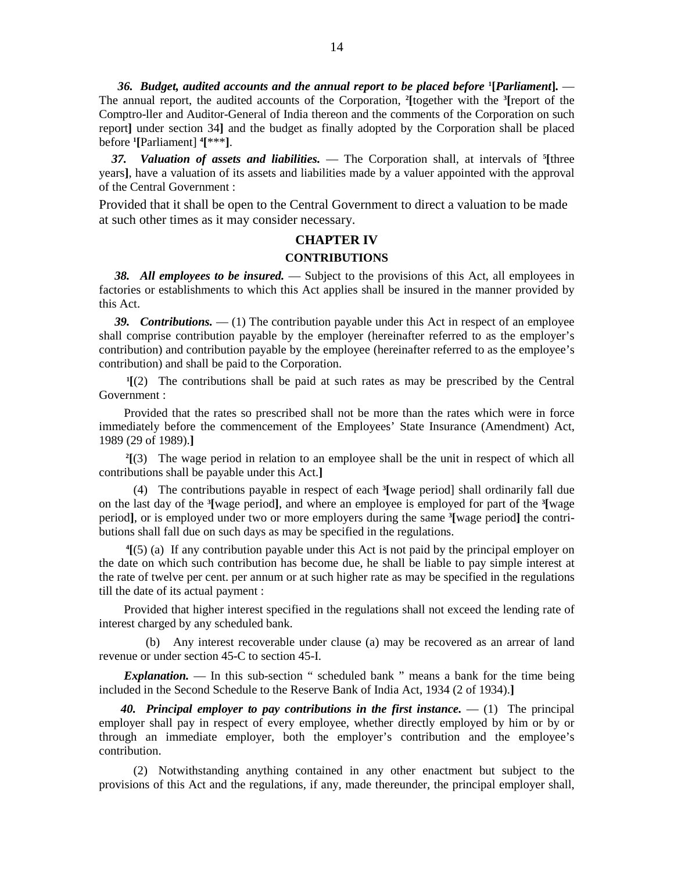*36. Budget, audited accounts and the annual report to be placed before* **<sup>1</sup> [***Parliament***]***.* — The annual report, the audited accounts of the Corporation, **<sup>2</sup> [**together with the **<sup>3</sup> [**report of the Comptro-ller and Auditor-General of India thereon and the comments of the Corporation on such report**]** under section 34**]** and the budget as finally adopted by the Corporation shall be placed before **<sup>1</sup> [**Parliament] **<sup>4</sup> [**\*\*\***]**.

*37. Valuation of assets and liabilities.* — The Corporation shall, at intervals of **<sup>5</sup> [**three years**]**, have a valuation of its assets and liabilities made by a valuer appointed with the approval of the Central Government :

Provided that it shall be open to the Central Government to direct a valuation to be made at such other times as it may consider necessary.

# **CHAPTER IV CONTRIBUTIONS**

*38. All employees to be insured.* — Subject to the provisions of this Act, all employees in factories or establishments to which this Act applies shall be insured in the manner provided by this Act.

*39. Contributions.* — (1) The contribution payable under this Act in respect of an employee shall comprise contribution payable by the employer (hereinafter referred to as the employer's contribution) and contribution payable by the employee (hereinafter referred to as the employee's contribution) and shall be paid to the Corporation.

 **1 [**(2) The contributions shall be paid at such rates as may be prescribed by the Central Government :

Provided that the rates so prescribed shall not be more than the rates which were in force immediately before the commencement of the Employees' State Insurance (Amendment) Act, 1989 (29 of 1989).**]**

**2 [**(3) The wage period in relation to an employee shall be the unit in respect of which all contributions shall be payable under this Act.**]**

(4) The contributions payable in respect of each **<sup>3</sup> [**wage period] shall ordinarily fall due on the last day of the **<sup>3</sup> [**wage period**]**, and where an employee is employed for part of the **<sup>3</sup> [**wage period**]**, or is employed under two or more employers during the same **<sup>3</sup> [**wage period**]** the contributions shall fall due on such days as may be specified in the regulations.

 **4 [**(5) (a) If any contribution payable under this Act is not paid by the principal employer on the date on which such contribution has become due, he shall be liable to pay simple interest at the rate of twelve per cent. per annum or at such higher rate as may be specified in the regulations till the date of its actual payment :

Provided that higher interest specified in the regulations shall not exceed the lending rate of interest charged by any scheduled bank.

(b) Any interest recoverable under clause (a) may be recovered as an arrear of land revenue or under section 45-C to section 45-I.

*Explanation.* — In this sub-section " scheduled bank " means a bank for the time being included in the Second Schedule to the Reserve Bank of India Act, 1934 (2 of 1934).**]**

40. Principal employer to pay contributions in the first instance.  $-$  (1) The principal employer shall pay in respect of every employee, whether directly employed by him or by or through an immediate employer, both the employer's contribution and the employee's contribution.

(2) Notwithstanding anything contained in any other enactment but subject to the provisions of this Act and the regulations, if any, made thereunder, the principal employer shall,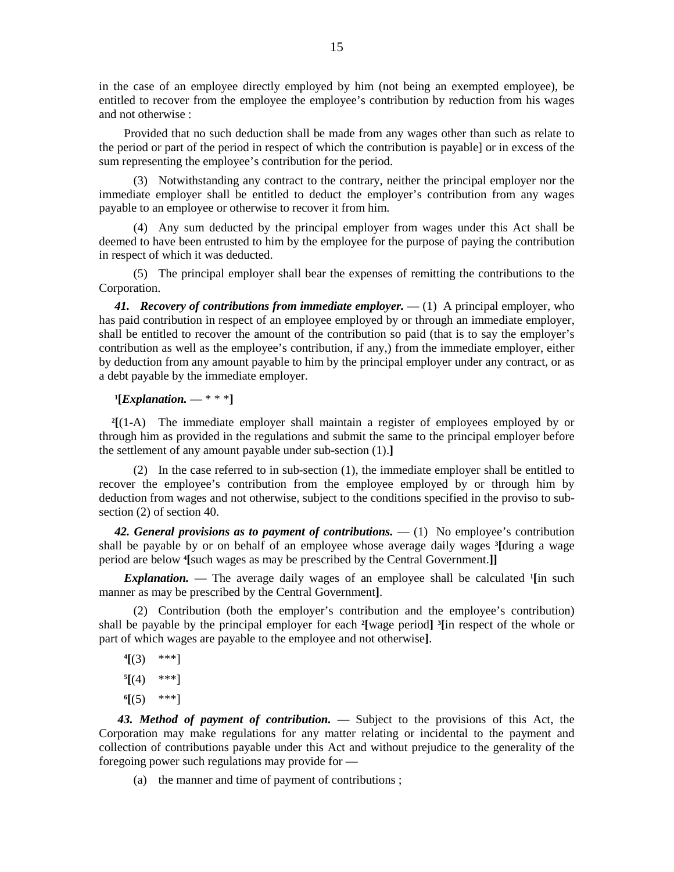in the case of an employee directly employed by him (not being an exempted employee), be entitled to recover from the employee the employee's contribution by reduction from his wages and not otherwise :

Provided that no such deduction shall be made from any wages other than such as relate to the period or part of the period in respect of which the contribution is payable] or in excess of the sum representing the employee's contribution for the period.

(3) Notwithstanding any contract to the contrary, neither the principal employer nor the immediate employer shall be entitled to deduct the employer's contribution from any wages payable to an employee or otherwise to recover it from him.

(4) Any sum deducted by the principal employer from wages under this Act shall be deemed to have been entrusted to him by the employee for the purpose of paying the contribution in respect of which it was deducted.

(5) The principal employer shall bear the expenses of remitting the contributions to the Corporation.

*41. Recovery of contributions from immediate employer.* — (1) A principal employer, who has paid contribution in respect of an employee employed by or through an immediate employer, shall be entitled to recover the amount of the contribution so paid (that is to say the employer's contribution as well as the employee's contribution, if any,) from the immediate employer, either by deduction from any amount payable to him by the principal employer under any contract, or as a debt payable by the immediate employer.

#### **1 [***Explanation.* — \* \* \***]**

**2 [**(1-A) The immediate employer shall maintain a register of employees employed by or through him as provided in the regulations and submit the same to the principal employer before the settlement of any amount payable under sub-section (1).**]**

(2) In the case referred to in sub-section (1), the immediate employer shall be entitled to recover the employee's contribution from the employee employed by or through him by deduction from wages and not otherwise, subject to the conditions specified in the proviso to subsection (2) of section 40.

*42. General provisions as to payment of contributions.* — (1) No employee's contribution shall be payable by or on behalf of an employee whose average daily wages **<sup>3</sup> [**during a wage period are below **<sup>4</sup> [**such wages as may be prescribed by the Central Government.**]]**

*Explanation.* — The average daily wages of an employee shall be calculated **<sup>1</sup> [**in such manner as may be prescribed by the Central Government**]**.

(2) Contribution (both the employer's contribution and the employee's contribution) shall be payable by the principal employer for each **<sup>2</sup> [**wage period**] <sup>3</sup> [**in respect of the whole or part of which wages are payable to the employee and not otherwise**]**.

- **4 [**(3) \*\*\*]
- $5(4)$ **[**(4) \*\*\*]
- **6 [**(5) \*\*\*]

*43. Method of payment of contribution.* — Subject to the provisions of this Act, the Corporation may make regulations for any matter relating or incidental to the payment and collection of contributions payable under this Act and without prejudice to the generality of the foregoing power such regulations may provide for —

(a) the manner and time of payment of contributions ;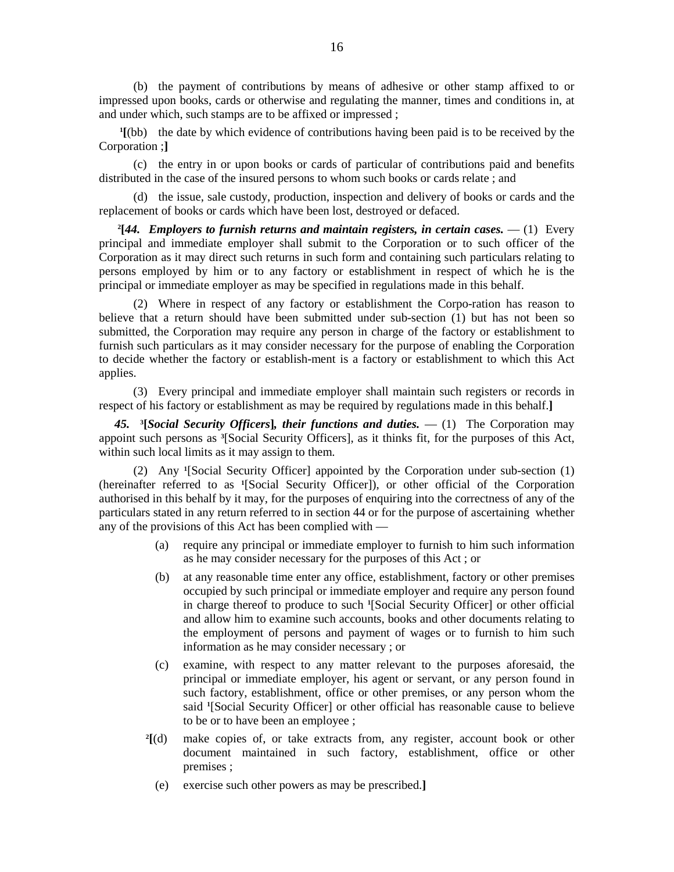(b) the payment of contributions by means of adhesive or other stamp affixed to or impressed upon books, cards or otherwise and regulating the manner, times and conditions in, at and under which, such stamps are to be affixed or impressed ;

 **1 [**(bb) the date by which evidence of contributions having been paid is to be received by the Corporation ;**]**

(c) the entry in or upon books or cards of particular of contributions paid and benefits distributed in the case of the insured persons to whom such books or cards relate ; and

(d) the issue, sale custody, production, inspection and delivery of books or cards and the replacement of books or cards which have been lost, destroyed or defaced.

**2 [***44. Employers to furnish returns and maintain registers, in certain cases.* — (1) Every principal and immediate employer shall submit to the Corporation or to such officer of the Corporation as it may direct such returns in such form and containing such particulars relating to persons employed by him or to any factory or establishment in respect of which he is the principal or immediate employer as may be specified in regulations made in this behalf.

(2) Where in respect of any factory or establishment the Corpo-ration has reason to believe that a return should have been submitted under sub-section (1) but has not been so submitted, the Corporation may require any person in charge of the factory or establishment to furnish such particulars as it may consider necessary for the purpose of enabling the Corporation to decide whether the factory or establish-ment is a factory or establishment to which this Act applies.

(3) Every principal and immediate employer shall maintain such registers or records in respect of his factory or establishment as may be required by regulations made in this behalf.**]**

*45.* **<sup>3</sup> [***Social Security Officers***]***, their functions and duties.* — (1) The Corporation may appoint such persons as **<sup>3</sup>** [Social Security Officers], as it thinks fit, for the purposes of this Act, within such local limits as it may assign to them.

(2) Any **<sup>1</sup>** [Social Security Officer] appointed by the Corporation under sub-section (1) (hereinafter referred to as **<sup>1</sup>** [Social Security Officer]), or other official of the Corporation authorised in this behalf by it may, for the purposes of enquiring into the correctness of any of the particulars stated in any return referred to in section 44 or for the purpose of ascertaining whether any of the provisions of this Act has been complied with —

- (a) require any principal or immediate employer to furnish to him such information as he may consider necessary for the purposes of this Act ; or
- (b) at any reasonable time enter any office, establishment, factory or other premises occupied by such principal or immediate employer and require any person found in charge thereof to produce to such **<sup>1</sup>** [Social Security Officer] or other official and allow him to examine such accounts, books and other documents relating to the employment of persons and payment of wages or to furnish to him such information as he may consider necessary ; or
- (c) examine, with respect to any matter relevant to the purposes aforesaid, the principal or immediate employer, his agent or servant, or any person found in such factory, establishment, office or other premises, or any person whom the said **<sup>1</sup>** [Social Security Officer] or other official has reasonable cause to believe to be or to have been an employee ;
- $^{2}[(d)]$ make copies of, or take extracts from, any register, account book or other document maintained in such factory, establishment, office or other premises ;
	- (e) exercise such other powers as may be prescribed.**]**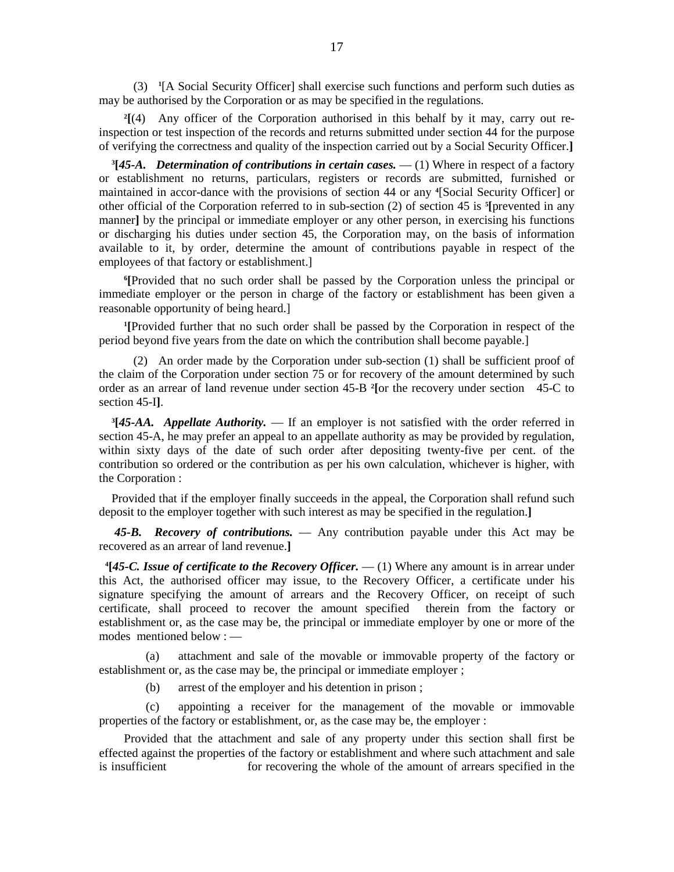(3) **<sup>1</sup>** [A Social Security Officer] shall exercise such functions and perform such duties as may be authorised by the Corporation or as may be specified in the regulations.

**2 [**(4) Any officer of the Corporation authorised in this behalf by it may, carry out reinspection or test inspection of the records and returns submitted under section 44 for the purpose of verifying the correctness and quality of the inspection carried out by a Social Security Officer.**]**

**3 [***45-A. Determination of contributions in certain cases.* — (1) Where in respect of a factory or establishment no returns, particulars, registers or records are submitted, furnished or maintained in accor-dance with the provisions of section 44 or any **<sup>4</sup>** [Social Security Officer] or other official of the Corporation referred to in sub-section (2) of section 45 is **<sup>5</sup> [**prevented in any manner**]** by the principal or immediate employer or any other person, in exercising his functions or discharging his duties under section 45, the Corporation may, on the basis of information available to it, by order, determine the amount of contributions payable in respect of the employees of that factory or establishment.]

**6 [**Provided that no such order shall be passed by the Corporation unless the principal or immediate employer or the person in charge of the factory or establishment has been given a reasonable opportunity of being heard.]

**1 [**Provided further that no such order shall be passed by the Corporation in respect of the period beyond five years from the date on which the contribution shall become payable.]

(2) An order made by the Corporation under sub-section (1) shall be sufficient proof of the claim of the Corporation under section 75 or for recovery of the amount determined by such order as an arrear of land revenue under section 45-B **<sup>2</sup> [**or the recovery under section 45-C to section 45-I**]**.

**3 [***45-AA. Appellate Authority.* — If an employer is not satisfied with the order referred in section 45-A, he may prefer an appeal to an appellate authority as may be provided by regulation, within sixty days of the date of such order after depositing twenty-five per cent. of the contribution so ordered or the contribution as per his own calculation, whichever is higher, with the Corporation :

Provided that if the employer finally succeeds in the appeal, the Corporation shall refund such deposit to the employer together with such interest as may be specified in the regulation.**]**

*45-B. Recovery of contributions.* — Any contribution payable under this Act may be recovered as an arrear of land revenue.**]**

**4 [***45-C. Issue of certificate to the Recovery Officer.* — (1) Where any amount is in arrear under this Act, the authorised officer may issue, to the Recovery Officer, a certificate under his signature specifying the amount of arrears and the Recovery Officer, on receipt of such certificate, shall proceed to recover the amount specified therein from the factory or establishment or, as the case may be, the principal or immediate employer by one or more of the modes mentioned below : —

(a) attachment and sale of the movable or immovable property of the factory or establishment or, as the case may be, the principal or immediate employer ;

(b) arrest of the employer and his detention in prison ;

(c) appointing a receiver for the management of the movable or immovable properties of the factory or establishment, or, as the case may be, the employer :

Provided that the attachment and sale of any property under this section shall first be effected against the properties of the factory or establishment and where such attachment and sale is insufficient for recovering the whole of the amount of arrears specified in the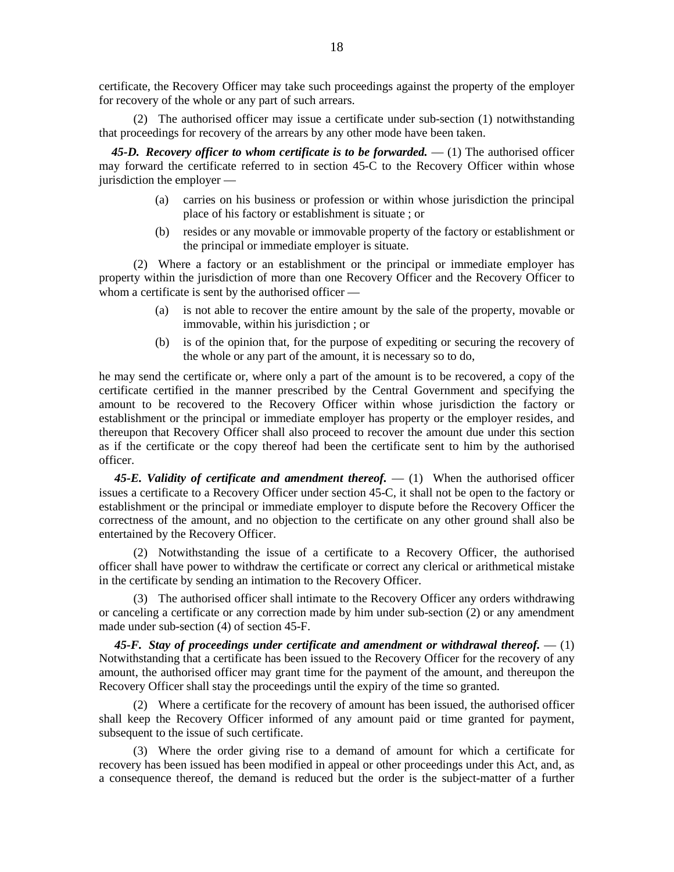certificate, the Recovery Officer may take such proceedings against the property of the employer for recovery of the whole or any part of such arrears.

(2) The authorised officer may issue a certificate under sub-section (1) notwithstanding that proceedings for recovery of the arrears by any other mode have been taken.

45-D. Recovery officer to whom certificate is to be forwarded. — (1) The authorised officer may forward the certificate referred to in section 45-C to the Recovery Officer within whose jurisdiction the employer —

- (a) carries on his business or profession or within whose jurisdiction the principal place of his factory or establishment is situate ; or
- (b) resides or any movable or immovable property of the factory or establishment or the principal or immediate employer is situate.

(2) Where a factory or an establishment or the principal or immediate employer has property within the jurisdiction of more than one Recovery Officer and the Recovery Officer to whom a certificate is sent by the authorised officer —

- (a) is not able to recover the entire amount by the sale of the property, movable or immovable, within his jurisdiction ; or
- (b) is of the opinion that, for the purpose of expediting or securing the recovery of the whole or any part of the amount, it is necessary so to do,

he may send the certificate or, where only a part of the amount is to be recovered, a copy of the certificate certified in the manner prescribed by the Central Government and specifying the amount to be recovered to the Recovery Officer within whose jurisdiction the factory or establishment or the principal or immediate employer has property or the employer resides, and thereupon that Recovery Officer shall also proceed to recover the amount due under this section as if the certificate or the copy thereof had been the certificate sent to him by the authorised officer.

45-E. Validity of certificate and amendment thereof.  $-$  (1) When the authorised officer issues a certificate to a Recovery Officer under section 45-C, it shall not be open to the factory or establishment or the principal or immediate employer to dispute before the Recovery Officer the correctness of the amount, and no objection to the certificate on any other ground shall also be entertained by the Recovery Officer.

(2) Notwithstanding the issue of a certificate to a Recovery Officer, the authorised officer shall have power to withdraw the certificate or correct any clerical or arithmetical mistake in the certificate by sending an intimation to the Recovery Officer.

(3) The authorised officer shall intimate to the Recovery Officer any orders withdrawing or canceling a certificate or any correction made by him under sub-section (2) or any amendment made under sub-section (4) of section 45-F.

*45-F. Stay of proceedings under certificate and amendment or withdrawal thereof.* — (1) Notwithstanding that a certificate has been issued to the Recovery Officer for the recovery of any amount, the authorised officer may grant time for the payment of the amount, and thereupon the Recovery Officer shall stay the proceedings until the expiry of the time so granted.

(2) Where a certificate for the recovery of amount has been issued, the authorised officer shall keep the Recovery Officer informed of any amount paid or time granted for payment, subsequent to the issue of such certificate.

(3) Where the order giving rise to a demand of amount for which a certificate for recovery has been issued has been modified in appeal or other proceedings under this Act, and, as a consequence thereof, the demand is reduced but the order is the subject-matter of a further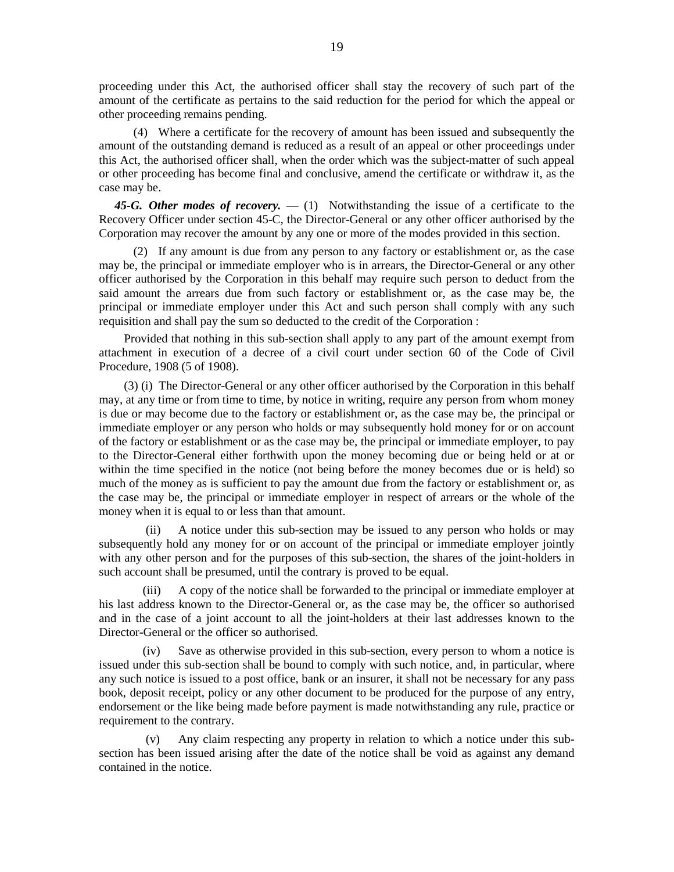proceeding under this Act, the authorised officer shall stay the recovery of such part of the amount of the certificate as pertains to the said reduction for the period for which the appeal or other proceeding remains pending.

(4) Where a certificate for the recovery of amount has been issued and subsequently the amount of the outstanding demand is reduced as a result of an appeal or other proceedings under this Act, the authorised officer shall, when the order which was the subject-matter of such appeal or other proceeding has become final and conclusive, amend the certificate or withdraw it, as the case may be.

*45-G. Other modes of recovery.* — (1) Notwithstanding the issue of a certificate to the Recovery Officer under section 45-C, the Director-General or any other officer authorised by the Corporation may recover the amount by any one or more of the modes provided in this section.

(2) If any amount is due from any person to any factory or establishment or, as the case may be, the principal or immediate employer who is in arrears, the Director-General or any other officer authorised by the Corporation in this behalf may require such person to deduct from the said amount the arrears due from such factory or establishment or, as the case may be, the principal or immediate employer under this Act and such person shall comply with any such requisition and shall pay the sum so deducted to the credit of the Corporation :

Provided that nothing in this sub-section shall apply to any part of the amount exempt from attachment in execution of a decree of a civil court under section 60 of the Code of Civil Procedure, 1908 (5 of 1908).

(3) (i) The Director-General or any other officer authorised by the Corporation in this behalf may, at any time or from time to time, by notice in writing, require any person from whom money is due or may become due to the factory or establishment or, as the case may be, the principal or immediate employer or any person who holds or may subsequently hold money for or on account of the factory or establishment or as the case may be, the principal or immediate employer, to pay to the Director-General either forthwith upon the money becoming due or being held or at or within the time specified in the notice (not being before the money becomes due or is held) so much of the money as is sufficient to pay the amount due from the factory or establishment or, as the case may be, the principal or immediate employer in respect of arrears or the whole of the money when it is equal to or less than that amount.

(ii) A notice under this sub-section may be issued to any person who holds or may subsequently hold any money for or on account of the principal or immediate employer jointly with any other person and for the purposes of this sub-section, the shares of the joint-holders in such account shall be presumed, until the contrary is proved to be equal.

(iii) A copy of the notice shall be forwarded to the principal or immediate employer at his last address known to the Director-General or, as the case may be, the officer so authorised and in the case of a joint account to all the joint-holders at their last addresses known to the Director-General or the officer so authorised.

(iv) Save as otherwise provided in this sub-section, every person to whom a notice is issued under this sub-section shall be bound to comply with such notice, and, in particular, where any such notice is issued to a post office, bank or an insurer, it shall not be necessary for any pass book, deposit receipt, policy or any other document to be produced for the purpose of any entry, endorsement or the like being made before payment is made notwithstanding any rule, practice or requirement to the contrary.

(v) Any claim respecting any property in relation to which a notice under this subsection has been issued arising after the date of the notice shall be void as against any demand contained in the notice.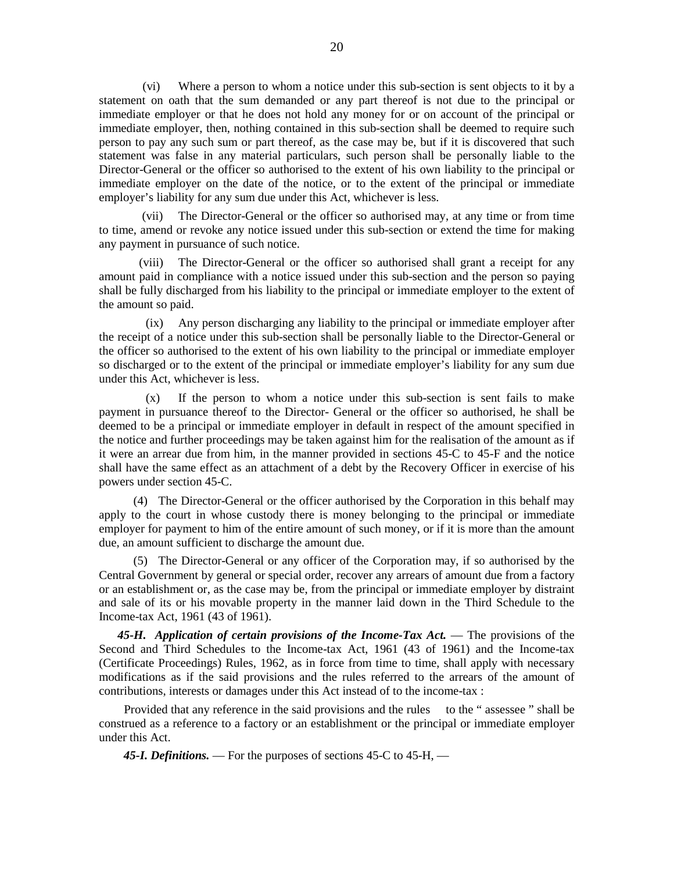(vi) Where a person to whom a notice under this sub-section is sent objects to it by a statement on oath that the sum demanded or any part thereof is not due to the principal or immediate employer or that he does not hold any money for or on account of the principal or immediate employer, then, nothing contained in this sub-section shall be deemed to require such person to pay any such sum or part thereof, as the case may be, but if it is discovered that such statement was false in any material particulars, such person shall be personally liable to the Director-General or the officer so authorised to the extent of his own liability to the principal or immediate employer on the date of the notice, or to the extent of the principal or immediate employer's liability for any sum due under this Act, whichever is less.

 (vii) The Director-General or the officer so authorised may, at any time or from time to time, amend or revoke any notice issued under this sub-section or extend the time for making any payment in pursuance of such notice.

 (viii) The Director-General or the officer so authorised shall grant a receipt for any amount paid in compliance with a notice issued under this sub-section and the person so paying shall be fully discharged from his liability to the principal or immediate employer to the extent of the amount so paid.

(ix) Any person discharging any liability to the principal or immediate employer after the receipt of a notice under this sub-section shall be personally liable to the Director-General or the officer so authorised to the extent of his own liability to the principal or immediate employer so discharged or to the extent of the principal or immediate employer's liability for any sum due under this Act, whichever is less.

(x) If the person to whom a notice under this sub-section is sent fails to make payment in pursuance thereof to the Director- General or the officer so authorised, he shall be deemed to be a principal or immediate employer in default in respect of the amount specified in the notice and further proceedings may be taken against him for the realisation of the amount as if it were an arrear due from him, in the manner provided in sections 45-C to 45-F and the notice shall have the same effect as an attachment of a debt by the Recovery Officer in exercise of his powers under section 45-C.

(4) The Director-General or the officer authorised by the Corporation in this behalf may apply to the court in whose custody there is money belonging to the principal or immediate employer for payment to him of the entire amount of such money, or if it is more than the amount due, an amount sufficient to discharge the amount due.

(5) The Director-General or any officer of the Corporation may, if so authorised by the Central Government by general or special order, recover any arrears of amount due from a factory or an establishment or, as the case may be, from the principal or immediate employer by distraint and sale of its or his movable property in the manner laid down in the Third Schedule to the Income-tax Act, 1961 (43 of 1961).

*45-H. Application of certain provisions of the Income-Tax Act.* — The provisions of the Second and Third Schedules to the Income-tax Act, 1961 (43 of 1961) and the Income-tax (Certificate Proceedings) Rules, 1962, as in force from time to time, shall apply with necessary modifications as if the said provisions and the rules referred to the arrears of the amount of contributions, interests or damages under this Act instead of to the income-tax :

Provided that any reference in the said provisions and the rules to the " assessee " shall be construed as a reference to a factory or an establishment or the principal or immediate employer under this Act.

 *45-I. Definitions.* — For the purposes of sections 45-C to 45-H, —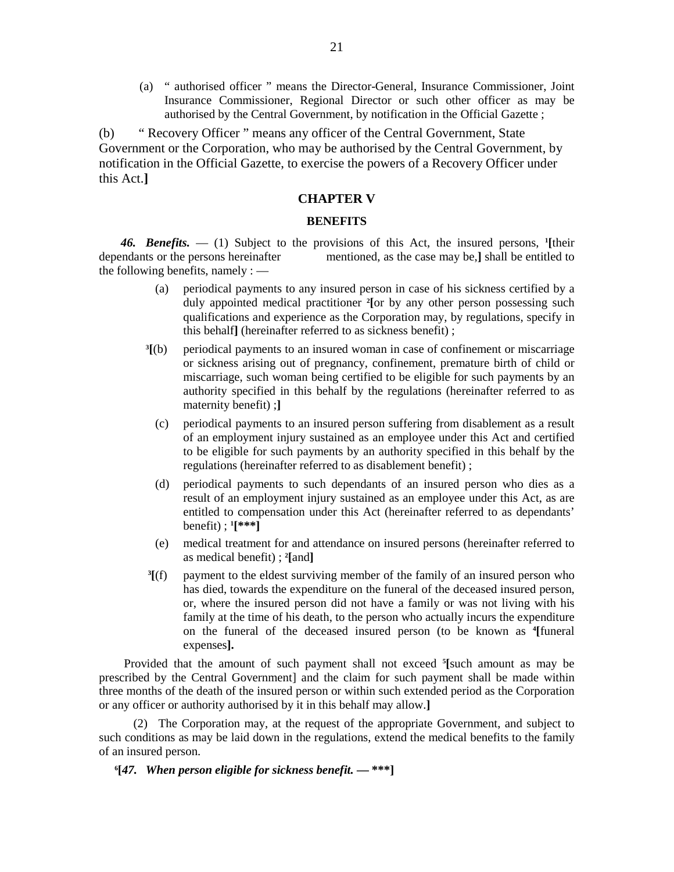(a) " authorised officer " means the Director-General, Insurance Commissioner, Joint Insurance Commissioner, Regional Director or such other officer as may be authorised by the Central Government, by notification in the Official Gazette ;

(b) " Recovery Officer " means any officer of the Central Government, State Government or the Corporation, who may be authorised by the Central Government, by notification in the Official Gazette, to exercise the powers of a Recovery Officer under this Act.**]**

# **CHAPTER V**

## **BENEFITS**

*46. Benefits.* — (1) Subject to the provisions of this Act, the insured persons, **<sup>1</sup> [**their dependants or the persons hereinafter mentioned, as the case may be,**]** shall be entitled to the following benefits, namely : —

- (a) periodical payments to any insured person in case of his sickness certified by a duly appointed medical practitioner **<sup>2</sup> [**or by any other person possessing such qualifications and experience as the Corporation may, by regulations, specify in this behalf**]** (hereinafter referred to as sickness benefit) ;
- $\frac{3}{2}$ (b) **[**(b) periodical payments to an insured woman in case of confinement or miscarriage or sickness arising out of pregnancy, confinement, premature birth of child or miscarriage, such woman being certified to be eligible for such payments by an authority specified in this behalf by the regulations (hereinafter referred to as maternity benefit) ;**]**
	- (c) periodical payments to an insured person suffering from disablement as a result of an employment injury sustained as an employee under this Act and certified to be eligible for such payments by an authority specified in this behalf by the regulations (hereinafter referred to as disablement benefit) ;
	- (d) periodical payments to such dependants of an insured person who dies as a result of an employment injury sustained as an employee under this Act, as are entitled to compensation under this Act (hereinafter referred to as dependants' benefit) ; **<sup>1</sup> [\*\*\*]**
	- (e) medical treatment for and attendance on insured persons (hereinafter referred to as medical benefit) ; **<sup>2</sup> [**and**]**
- $\frac{3}{f(f)}$ payment to the eldest surviving member of the family of an insured person who has died, towards the expenditure on the funeral of the deceased insured person, or, where the insured person did not have a family or was not living with his family at the time of his death, to the person who actually incurs the expenditure on the funeral of the deceased insured person (to be known as **<sup>4</sup> [**funeral expenses**].**

Provided that the amount of such payment shall not exceed **<sup>5</sup> [**such amount as may be prescribed by the Central Government] and the claim for such payment shall be made within three months of the death of the insured person or within such extended period as the Corporation or any officer or authority authorised by it in this behalf may allow.**]**

(2) The Corporation may, at the request of the appropriate Government, and subject to such conditions as may be laid down in the regulations, extend the medical benefits to the family of an insured person.

### **6 [***47. When person eligible for sickness benefit.* **— \*\*\*]**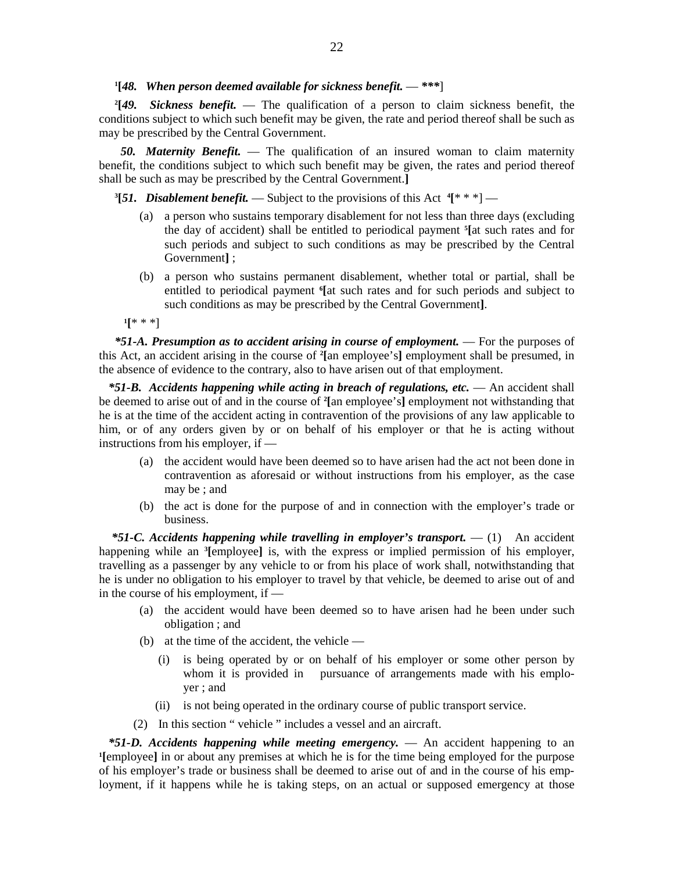#### **1 [***48. When person deemed available for sickness benefit.* — *\*\*\**]

**2 [***49. Sickness benefit.* — The qualification of a person to claim sickness benefit, the conditions subject to which such benefit may be given, the rate and period thereof shall be such as may be prescribed by the Central Government.

*50. Maternity Benefit.* — The qualification of an insured woman to claim maternity benefit, the conditions subject to which such benefit may be given, the rates and period thereof shall be such as may be prescribed by the Central Government.**]**

**3 [***51. Disablement benefit.* — Subject to the provisions of this Act **<sup>4</sup> [**\* \* \*] —

- (a) a person who sustains temporary disablement for not less than three days (excluding the day of accident) shall be entitled to periodical payment **<sup>5</sup> [**at such rates and for such periods and subject to such conditions as may be prescribed by the Central Government**]** ;
- (b) a person who sustains permanent disablement, whether total or partial, shall be entitled to periodical payment **<sup>6</sup> [**at such rates and for such periods and subject to such conditions as may be prescribed by the Central Government**]**.

**1 [**\* \* \*]

*\*51-A. Presumption as to accident arising in course of employment.* — For the purposes of this Act, an accident arising in the course of **<sup>2</sup> [**an employee's**]** employment shall be presumed, in the absence of evidence to the contrary, also to have arisen out of that employment.

*\*51-B. Accidents happening while acting in breach of regulations, etc.* — An accident shall be deemed to arise out of and in the course of **<sup>2</sup> [**an employee's**]** employment not withstanding that he is at the time of the accident acting in contravention of the provisions of any law applicable to him, or of any orders given by or on behalf of his employer or that he is acting without instructions from his employer, if —

- (a) the accident would have been deemed so to have arisen had the act not been done in contravention as aforesaid or without instructions from his employer, as the case may be ; and
- (b) the act is done for the purpose of and in connection with the employer's trade or business.

*\*51-C. Accidents happening while travelling in employer's transport.* — (1) An accident happening while an **<sup>3</sup> [**employee**]** is, with the express or implied permission of his employer, travelling as a passenger by any vehicle to or from his place of work shall, notwithstanding that he is under no obligation to his employer to travel by that vehicle, be deemed to arise out of and in the course of his employment, if —

- (a) the accident would have been deemed so to have arisen had he been under such obligation ; and
- (b) at the time of the accident, the vehicle
	- (i) is being operated by or on behalf of his employer or some other person by whom it is provided in pursuance of arrangements made with his employer ; and
	- (ii) is not being operated in the ordinary course of public transport service.
- (2) In this section " vehicle " includes a vessel and an aircraft.

*\*51-D. Accidents happening while meeting emergency.* — An accident happening to an **1 [**employee**]** in or about any premises at which he is for the time being employed for the purpose of his employer's trade or business shall be deemed to arise out of and in the course of his employment, if it happens while he is taking steps, on an actual or supposed emergency at those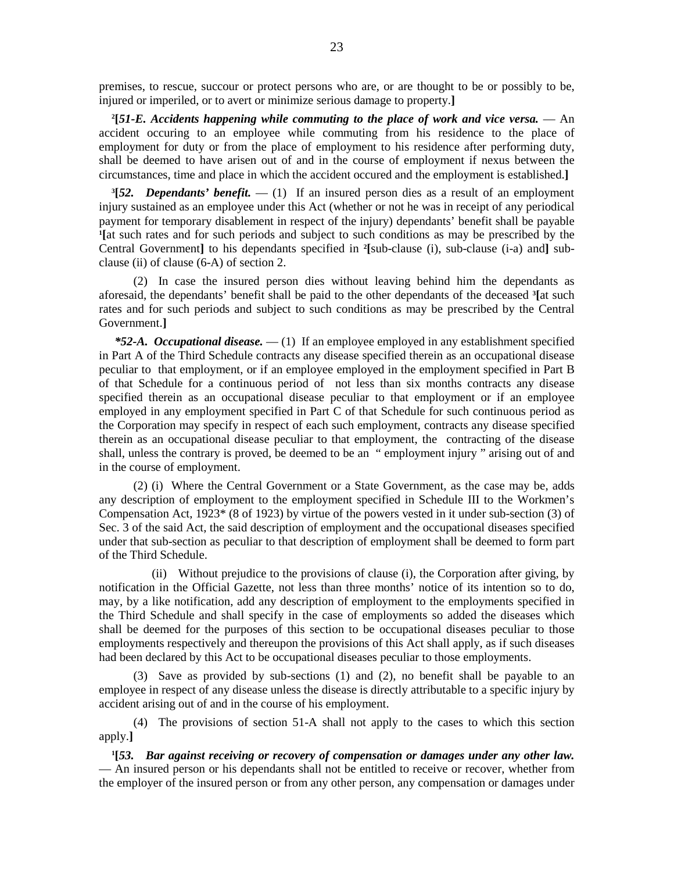premises, to rescue, succour or protect persons who are, or are thought to be or possibly to be, injured or imperiled, or to avert or minimize serious damage to property.**]**

**2 [***51-E. Accidents happening while commuting to the place of work and vice versa.* — An accident occuring to an employee while commuting from his residence to the place of employment for duty or from the place of employment to his residence after performing duty, shall be deemed to have arisen out of and in the course of employment if nexus between the circumstances, time and place in which the accident occured and the employment is established.**]**

**3 [***52. Dependants' benefit.* — (1) If an insured person dies as a result of an employment injury sustained as an employee under this Act (whether or not he was in receipt of any periodical payment for temporary disablement in respect of the injury) dependants' benefit shall be payable **1 [**at such rates and for such periods and subject to such conditions as may be prescribed by the Central Government**]** to his dependants specified in **<sup>2</sup> [**sub-clause (i), sub-clause (i-a) and**]** subclause (ii) of clause  $(6-A)$  of section 2.

(2) In case the insured person dies without leaving behind him the dependants as aforesaid, the dependants' benefit shall be paid to the other dependants of the deceased **<sup>3</sup> [**at such rates and for such periods and subject to such conditions as may be prescribed by the Central Government.**]**

*\*52-A. Occupational disease.* — (1) If an employee employed in any establishment specified in Part A of the Third Schedule contracts any disease specified therein as an occupational disease peculiar to that employment, or if an employee employed in the employment specified in Part B of that Schedule for a continuous period of not less than six months contracts any disease specified therein as an occupational disease peculiar to that employment or if an employee employed in any employment specified in Part C of that Schedule for such continuous period as the Corporation may specify in respect of each such employment, contracts any disease specified therein as an occupational disease peculiar to that employment, the contracting of the disease shall, unless the contrary is proved, be deemed to be an " employment injury " arising out of and in the course of employment.

(2) (i) Where the Central Government or a State Government, as the case may be, adds any description of employment to the employment specified in Schedule III to the Workmen's Compensation Act, 1923\* (8 of 1923) by virtue of the powers vested in it under sub-section (3) of Sec. 3 of the said Act, the said description of employment and the occupational diseases specified under that sub-section as peculiar to that description of employment shall be deemed to form part of the Third Schedule.

 (ii) Without prejudice to the provisions of clause (i), the Corporation after giving, by notification in the Official Gazette, not less than three months' notice of its intention so to do, may, by a like notification, add any description of employment to the employments specified in the Third Schedule and shall specify in the case of employments so added the diseases which shall be deemed for the purposes of this section to be occupational diseases peculiar to those employments respectively and thereupon the provisions of this Act shall apply, as if such diseases had been declared by this Act to be occupational diseases peculiar to those employments.

(3) Save as provided by sub-sections (1) and (2), no benefit shall be payable to an employee in respect of any disease unless the disease is directly attributable to a specific injury by accident arising out of and in the course of his employment.

(4) The provisions of section 51-A shall not apply to the cases to which this section apply.**]**

**1 [***53. Bar against receiving or recovery of compensation or damages under any other law.* — An insured person or his dependants shall not be entitled to receive or recover, whether from the employer of the insured person or from any other person, any compensation or damages under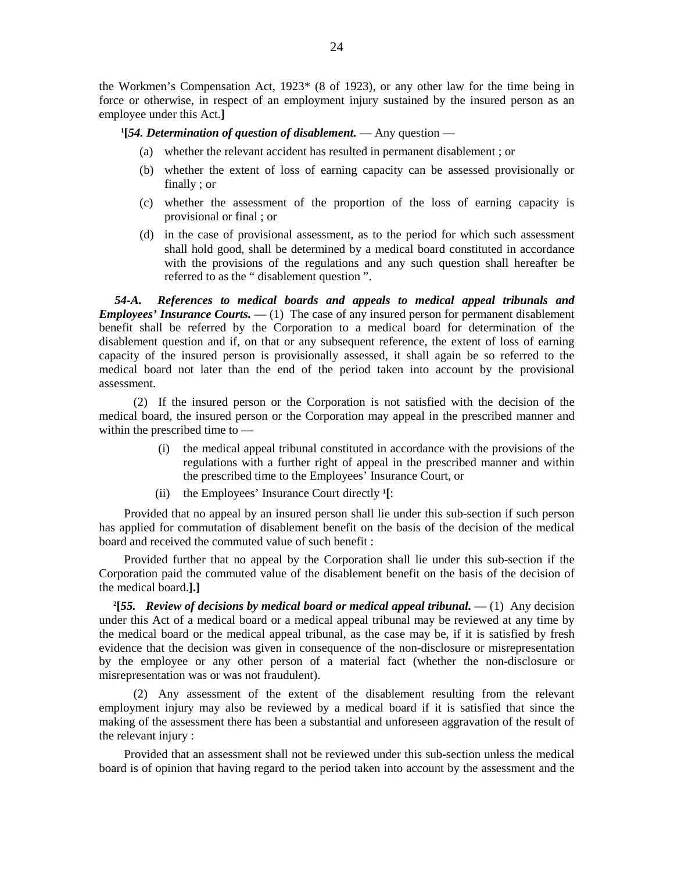the Workmen's Compensation Act, 1923\* (8 of 1923), or any other law for the time being in force or otherwise, in respect of an employment injury sustained by the insured person as an employee under this Act.**]**

**1 [***54. Determination of question of disablement.* — Any question —

- (a) whether the relevant accident has resulted in permanent disablement ; or
- (b) whether the extent of loss of earning capacity can be assessed provisionally or finally ; or
- (c) whether the assessment of the proportion of the loss of earning capacity is provisional or final ; or
- (d) in the case of provisional assessment, as to the period for which such assessment shall hold good, shall be determined by a medical board constituted in accordance with the provisions of the regulations and any such question shall hereafter be referred to as the " disablement question ".

*54-A. References to medical boards and appeals to medical appeal tribunals and Employees' Insurance Courts.* — (1) The case of any insured person for permanent disablement benefit shall be referred by the Corporation to a medical board for determination of the disablement question and if, on that or any subsequent reference, the extent of loss of earning capacity of the insured person is provisionally assessed, it shall again be so referred to the medical board not later than the end of the period taken into account by the provisional assessment.

(2) If the insured person or the Corporation is not satisfied with the decision of the medical board, the insured person or the Corporation may appeal in the prescribed manner and within the prescribed time to —

- (i) the medical appeal tribunal constituted in accordance with the provisions of the regulations with a further right of appeal in the prescribed manner and within the prescribed time to the Employees' Insurance Court, or
- (ii) the Employees' Insurance Court directly **<sup>1</sup> [**:

Provided that no appeal by an insured person shall lie under this sub-section if such person has applied for commutation of disablement benefit on the basis of the decision of the medical board and received the commuted value of such benefit :

Provided further that no appeal by the Corporation shall lie under this sub-section if the Corporation paid the commuted value of the disablement benefit on the basis of the decision of the medical board.**].]**

**2 [***55. Review of decisions by medical board or medical appeal tribunal.* — (1) Any decision under this Act of a medical board or a medical appeal tribunal may be reviewed at any time by the medical board or the medical appeal tribunal, as the case may be, if it is satisfied by fresh evidence that the decision was given in consequence of the non-disclosure or misrepresentation by the employee or any other person of a material fact (whether the non-disclosure or misrepresentation was or was not fraudulent).

(2) Any assessment of the extent of the disablement resulting from the relevant employment injury may also be reviewed by a medical board if it is satisfied that since the making of the assessment there has been a substantial and unforeseen aggravation of the result of the relevant injury :

Provided that an assessment shall not be reviewed under this sub-section unless the medical board is of opinion that having regard to the period taken into account by the assessment and the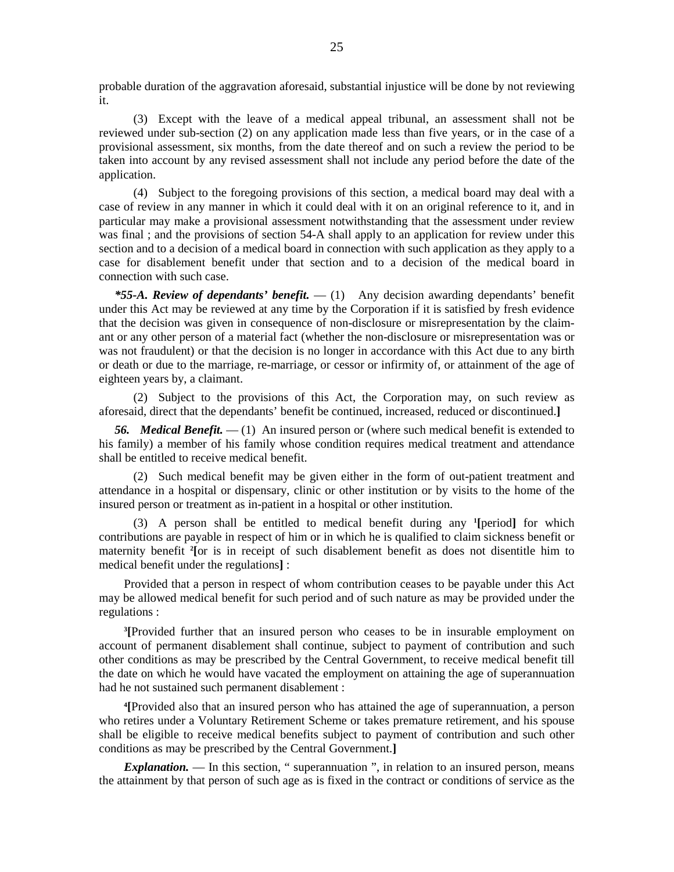probable duration of the aggravation aforesaid, substantial injustice will be done by not reviewing it.

(3) Except with the leave of a medical appeal tribunal, an assessment shall not be reviewed under sub-section (2) on any application made less than five years, or in the case of a provisional assessment, six months, from the date thereof and on such a review the period to be taken into account by any revised assessment shall not include any period before the date of the application.

(4) Subject to the foregoing provisions of this section, a medical board may deal with a case of review in any manner in which it could deal with it on an original reference to it, and in particular may make a provisional assessment notwithstanding that the assessment under review was final ; and the provisions of section 54-A shall apply to an application for review under this section and to a decision of a medical board in connection with such application as they apply to a case for disablement benefit under that section and to a decision of the medical board in connection with such case.

*\*55-A. Review of dependants' benefit.* — (1) Any decision awarding dependants' benefit under this Act may be reviewed at any time by the Corporation if it is satisfied by fresh evidence that the decision was given in consequence of non-disclosure or misrepresentation by the claimant or any other person of a material fact (whether the non-disclosure or misrepresentation was or was not fraudulent) or that the decision is no longer in accordance with this Act due to any birth or death or due to the marriage, re-marriage, or cessor or infirmity of, or attainment of the age of eighteen years by, a claimant.

(2) Subject to the provisions of this Act, the Corporation may, on such review as aforesaid, direct that the dependants' benefit be continued, increased, reduced or discontinued.**]**

*56. Medical Benefit.* — (1) An insured person or (where such medical benefit is extended to his family) a member of his family whose condition requires medical treatment and attendance shall be entitled to receive medical benefit.

(2) Such medical benefit may be given either in the form of out-patient treatment and attendance in a hospital or dispensary, clinic or other institution or by visits to the home of the insured person or treatment as in-patient in a hospital or other institution.

(3) A person shall be entitled to medical benefit during any **<sup>1</sup> [**period**]** for which contributions are payable in respect of him or in which he is qualified to claim sickness benefit or maternity benefit **<sup>2</sup> [**or is in receipt of such disablement benefit as does not disentitle him to medical benefit under the regulations**]** :

Provided that a person in respect of whom contribution ceases to be payable under this Act may be allowed medical benefit for such period and of such nature as may be provided under the regulations :

**3 [**Provided further that an insured person who ceases to be in insurable employment on account of permanent disablement shall continue, subject to payment of contribution and such other conditions as may be prescribed by the Central Government, to receive medical benefit till the date on which he would have vacated the employment on attaining the age of superannuation had he not sustained such permanent disablement :

**4 [**Provided also that an insured person who has attained the age of superannuation, a person who retires under a Voluntary Retirement Scheme or takes premature retirement, and his spouse shall be eligible to receive medical benefits subject to payment of contribution and such other conditions as may be prescribed by the Central Government.**]**

*Explanation.* — In this section, " superannuation ", in relation to an insured person, means the attainment by that person of such age as is fixed in the contract or conditions of service as the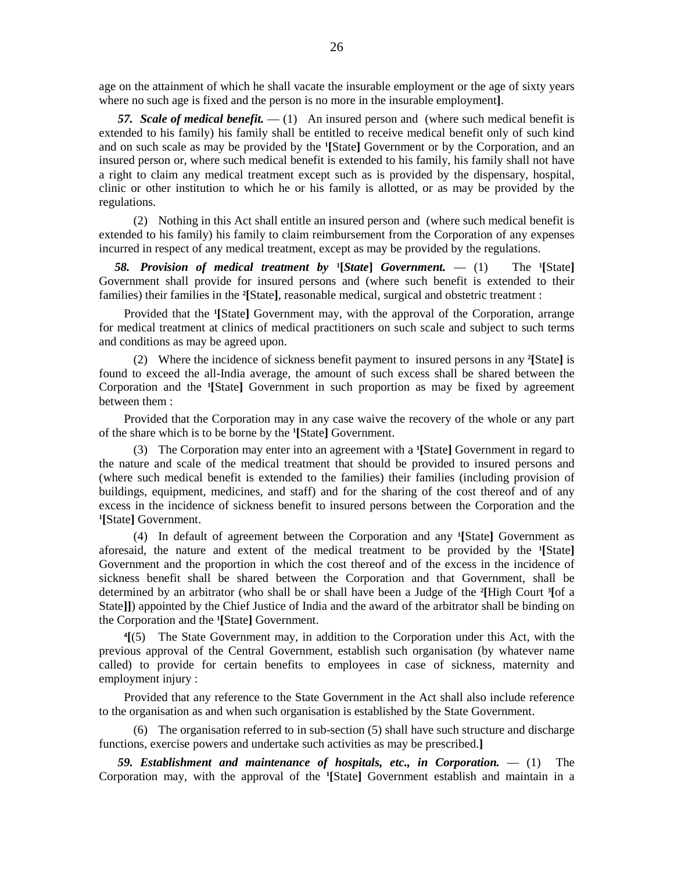age on the attainment of which he shall vacate the insurable employment or the age of sixty years where no such age is fixed and the person is no more in the insurable employment**]**.

*57. Scale of medical benefit.* — (1) An insured person and (where such medical benefit is extended to his family) his family shall be entitled to receive medical benefit only of such kind and on such scale as may be provided by the **<sup>1</sup> [**State**]** Government or by the Corporation, and an insured person or, where such medical benefit is extended to his family, his family shall not have a right to claim any medical treatment except such as is provided by the dispensary, hospital, clinic or other institution to which he or his family is allotted, or as may be provided by the regulations.

(2) Nothing in this Act shall entitle an insured person and (where such medical benefit is extended to his family) his family to claim reimbursement from the Corporation of any expenses incurred in respect of any medical treatment, except as may be provided by the regulations.

*58. Provision of medical treatment by* **<sup>1</sup> [***State***]** *Government.* — (1) The **<sup>1</sup> [**State**]** Government shall provide for insured persons and (where such benefit is extended to their families) their families in the **<sup>2</sup> [**State**]**, reasonable medical, surgical and obstetric treatment :

Provided that the **<sup>1</sup> [**State**]** Government may, with the approval of the Corporation, arrange for medical treatment at clinics of medical practitioners on such scale and subject to such terms and conditions as may be agreed upon.

(2) Where the incidence of sickness benefit payment to insured persons in any **<sup>2</sup> [**State**]** is found to exceed the all-India average, the amount of such excess shall be shared between the Corporation and the **<sup>1</sup> [**State**]** Government in such proportion as may be fixed by agreement between them :

Provided that the Corporation may in any case waive the recovery of the whole or any part of the share which is to be borne by the **<sup>1</sup> [**State**]** Government.

(3) The Corporation may enter into an agreement with a **<sup>1</sup> [**State**]** Government in regard to the nature and scale of the medical treatment that should be provided to insured persons and (where such medical benefit is extended to the families) their families (including provision of buildings, equipment, medicines, and staff) and for the sharing of the cost thereof and of any excess in the incidence of sickness benefit to insured persons between the Corporation and the **1 [**State**]** Government.

(4) In default of agreement between the Corporation and any **<sup>1</sup> [**State**]** Government as aforesaid, the nature and extent of the medical treatment to be provided by the **<sup>1</sup> [**State**]** Government and the proportion in which the cost thereof and of the excess in the incidence of sickness benefit shall be shared between the Corporation and that Government, shall be determined by an arbitrator (who shall be or shall have been a Judge of the **<sup>2</sup> [**High Court **<sup>3</sup> [**of a State**]]**) appointed by the Chief Justice of India and the award of the arbitrator shall be binding on the Corporation and the **<sup>1</sup> [**State**]** Government.

**4 [**(5) The State Government may, in addition to the Corporation under this Act, with the previous approval of the Central Government, establish such organisation (by whatever name called) to provide for certain benefits to employees in case of sickness, maternity and employment injury :

Provided that any reference to the State Government in the Act shall also include reference to the organisation as and when such organisation is established by the State Government.

(6) The organisation referred to in sub-section (5) shall have such structure and discharge functions, exercise powers and undertake such activities as may be prescribed.**]**

*59. Establishment and maintenance of hospitals, etc., in Corporation.* — (1) The Corporation may, with the approval of the **<sup>1</sup> [**State**]** Government establish and maintain in a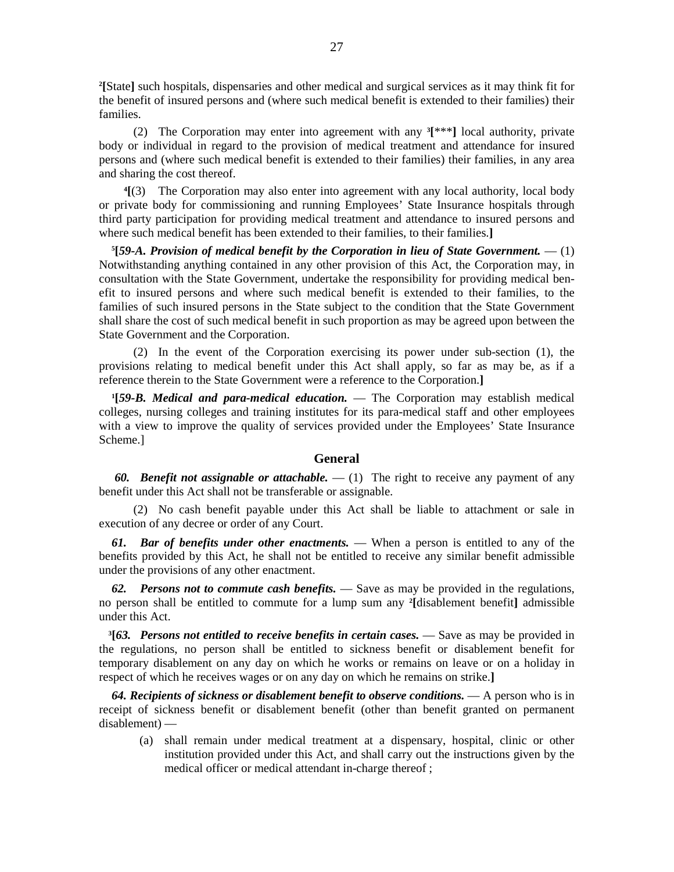**2 [**State**]** such hospitals, dispensaries and other medical and surgical services as it may think fit for the benefit of insured persons and (where such medical benefit is extended to their families) their families.

(2) The Corporation may enter into agreement with any **<sup>3</sup> [**\*\*\***]** local authority, private body or individual in regard to the provision of medical treatment and attendance for insured persons and (where such medical benefit is extended to their families) their families, in any area and sharing the cost thereof.

**4 [**(3) The Corporation may also enter into agreement with any local authority, local body or private body for commissioning and running Employees' State Insurance hospitals through third party participation for providing medical treatment and attendance to insured persons and where such medical benefit has been extended to their families, to their families.**]**

**5 [***59-A. Provision of medical benefit by the Corporation in lieu of State Government.* — (1) Notwithstanding anything contained in any other provision of this Act, the Corporation may, in consultation with the State Government, undertake the responsibility for providing medical benefit to insured persons and where such medical benefit is extended to their families, to the families of such insured persons in the State subject to the condition that the State Government shall share the cost of such medical benefit in such proportion as may be agreed upon between the State Government and the Corporation.

(2) In the event of the Corporation exercising its power under sub-section (1), the provisions relating to medical benefit under this Act shall apply, so far as may be, as if a reference therein to the State Government were a reference to the Corporation.**]**

**1 [***59-B. Medical and para-medical education.* — The Corporation may establish medical colleges, nursing colleges and training institutes for its para-medical staff and other employees with a view to improve the quality of services provided under the Employees' State Insurance Scheme.]

#### **General**

60. Benefit not assignable or attachable.  $- (1)$  The right to receive any payment of any benefit under this Act shall not be transferable or assignable.

(2) No cash benefit payable under this Act shall be liable to attachment or sale in execution of any decree or order of any Court.

*61. Bar of benefits under other enactments.* — When a person is entitled to any of the benefits provided by this Act, he shall not be entitled to receive any similar benefit admissible under the provisions of any other enactment.

*62. Persons not to commute cash benefits.* — Save as may be provided in the regulations, no person shall be entitled to commute for a lump sum any **<sup>2</sup> [**disablement benefit**]** admissible under this Act.

**3 [***63. Persons not entitled to receive benefits in certain cases.* — Save as may be provided in the regulations, no person shall be entitled to sickness benefit or disablement benefit for temporary disablement on any day on which he works or remains on leave or on a holiday in respect of which he receives wages or on any day on which he remains on strike.**]**

*64. Recipients of sickness or disablement benefit to observe conditions.* — A person who is in receipt of sickness benefit or disablement benefit (other than benefit granted on permanent disablement) —

(a) shall remain under medical treatment at a dispensary, hospital, clinic or other institution provided under this Act, and shall carry out the instructions given by the medical officer or medical attendant in-charge thereof ;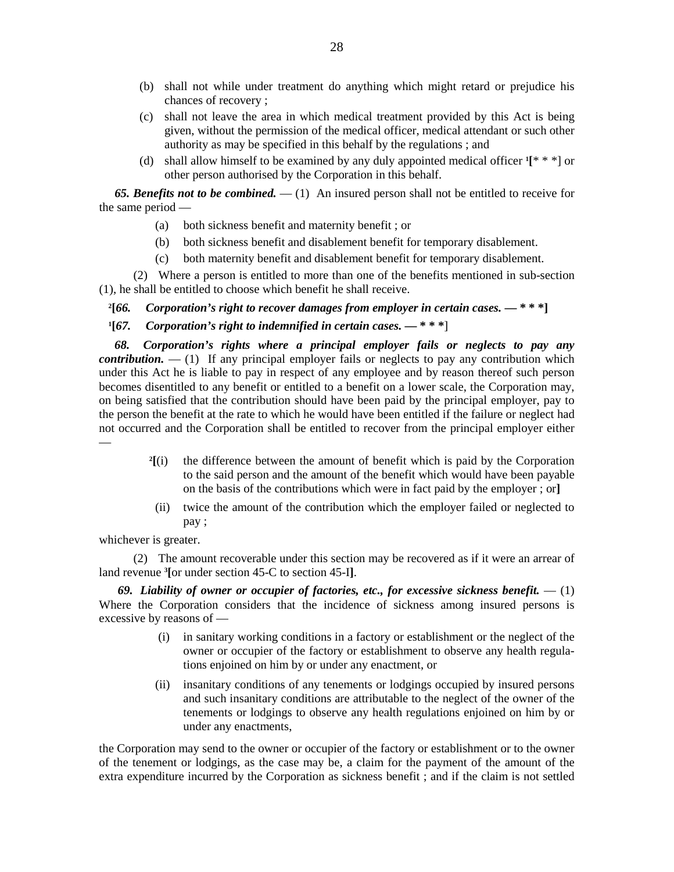- (b) shall not while under treatment do anything which might retard or prejudice his chances of recovery ;
- (c) shall not leave the area in which medical treatment provided by this Act is being given, without the permission of the medical officer, medical attendant or such other authority as may be specified in this behalf by the regulations ; and
- (d) shall allow himself to be examined by any duly appointed medical officer **<sup>1</sup> [**\* \* \*] or other person authorised by the Corporation in this behalf.

*65. Benefits not to be combined.* — (1) An insured person shall not be entitled to receive for the same period —

- (a) both sickness benefit and maternity benefit ; or
- (b) both sickness benefit and disablement benefit for temporary disablement.
- (c) both maternity benefit and disablement benefit for temporary disablement.

(2) Where a person is entitled to more than one of the benefits mentioned in sub-section (1), he shall be entitled to choose which benefit he shall receive.

- $^{2}$ [66. **[***66. Corporation's right to recover damages from employer in certain cases.* **— \* \* \*]**
- $^{1}[67]$ **[***67. Corporation's right to indemnified in certain cases.* **— \* \* \***]

*68. Corporation's rights where a principal employer fails or neglects to pay any contribution.*  $-$  (1) If any principal employer fails or neglects to pay any contribution which under this Act he is liable to pay in respect of any employee and by reason thereof such person becomes disentitled to any benefit or entitled to a benefit on a lower scale, the Corporation may, on being satisfied that the contribution should have been paid by the principal employer, pay to the person the benefit at the rate to which he would have been entitled if the failure or neglect had not occurred and the Corporation shall be entitled to recover from the principal employer either —

- $^{2}$ [(i) **[**(i) the difference between the amount of benefit which is paid by the Corporation to the said person and the amount of the benefit which would have been payable on the basis of the contributions which were in fact paid by the employer ; or**]**
- (ii) twice the amount of the contribution which the employer failed or neglected to pay ;

whichever is greater.

(2) The amount recoverable under this section may be recovered as if it were an arrear of land revenue **<sup>3</sup> [**or under section 45-C to section 45-I**]**.

*69. Liability of owner or occupier of factories, etc., for excessive sickness benefit.* — (1) Where the Corporation considers that the incidence of sickness among insured persons is excessive by reasons of —

- (i) in sanitary working conditions in a factory or establishment or the neglect of the owner or occupier of the factory or establishment to observe any health regulations enjoined on him by or under any enactment, or
- (ii) insanitary conditions of any tenements or lodgings occupied by insured persons and such insanitary conditions are attributable to the neglect of the owner of the tenements or lodgings to observe any health regulations enjoined on him by or under any enactments,

the Corporation may send to the owner or occupier of the factory or establishment or to the owner of the tenement or lodgings, as the case may be, a claim for the payment of the amount of the extra expenditure incurred by the Corporation as sickness benefit ; and if the claim is not settled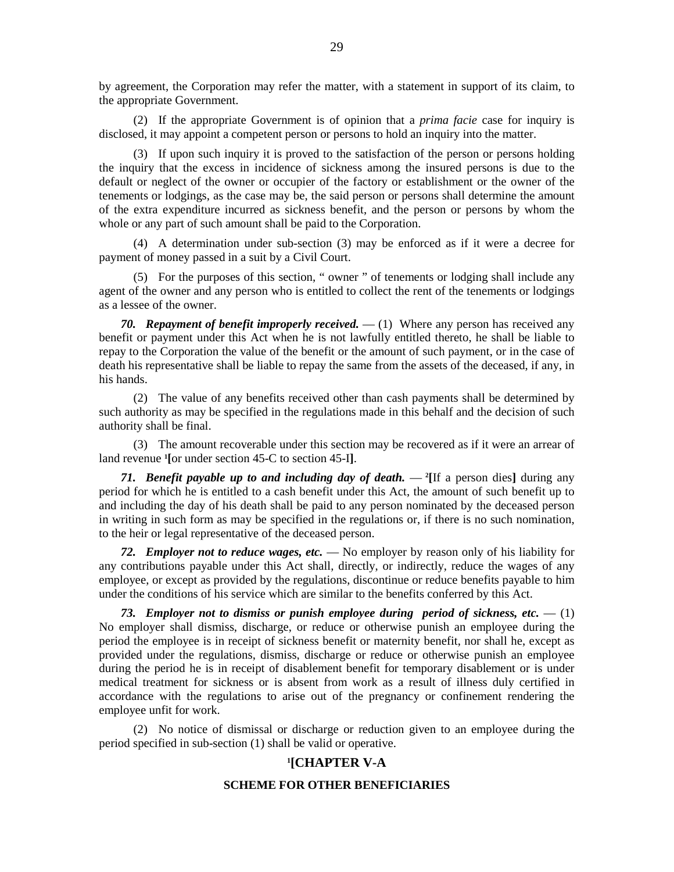by agreement, the Corporation may refer the matter, with a statement in support of its claim, to the appropriate Government.

(2) If the appropriate Government is of opinion that a *prima facie* case for inquiry is disclosed, it may appoint a competent person or persons to hold an inquiry into the matter.

(3) If upon such inquiry it is proved to the satisfaction of the person or persons holding the inquiry that the excess in incidence of sickness among the insured persons is due to the default or neglect of the owner or occupier of the factory or establishment or the owner of the tenements or lodgings, as the case may be, the said person or persons shall determine the amount of the extra expenditure incurred as sickness benefit, and the person or persons by whom the whole or any part of such amount shall be paid to the Corporation.

(4) A determination under sub-section (3) may be enforced as if it were a decree for payment of money passed in a suit by a Civil Court.

(5) For the purposes of this section, " owner " of tenements or lodging shall include any agent of the owner and any person who is entitled to collect the rent of the tenements or lodgings as a lessee of the owner.

*70. Repayment of benefit improperly received.* — (1) Where any person has received any benefit or payment under this Act when he is not lawfully entitled thereto, he shall be liable to repay to the Corporation the value of the benefit or the amount of such payment, or in the case of death his representative shall be liable to repay the same from the assets of the deceased, if any, in his hands.

(2) The value of any benefits received other than cash payments shall be determined by such authority as may be specified in the regulations made in this behalf and the decision of such authority shall be final.

(3) The amount recoverable under this section may be recovered as if it were an arrear of land revenue **<sup>1</sup> [**or under section 45-C to section 45-I**]**.

*71. Benefit payable up to and including day of death.* — **<sup>2</sup> [**If a person dies**]** during any period for which he is entitled to a cash benefit under this Act, the amount of such benefit up to and including the day of his death shall be paid to any person nominated by the deceased person in writing in such form as may be specified in the regulations or, if there is no such nomination, to the heir or legal representative of the deceased person.

*72. Employer not to reduce wages, etc.* — No employer by reason only of his liability for any contributions payable under this Act shall, directly, or indirectly, reduce the wages of any employee, or except as provided by the regulations, discontinue or reduce benefits payable to him under the conditions of his service which are similar to the benefits conferred by this Act.

73. *Employer not to dismiss or punish employee during period of sickness, etc.*  $- (1)$ No employer shall dismiss, discharge, or reduce or otherwise punish an employee during the period the employee is in receipt of sickness benefit or maternity benefit, nor shall he, except as provided under the regulations, dismiss, discharge or reduce or otherwise punish an employee during the period he is in receipt of disablement benefit for temporary disablement or is under medical treatment for sickness or is absent from work as a result of illness duly certified in accordance with the regulations to arise out of the pregnancy or confinement rendering the employee unfit for work.

(2) No notice of dismissal or discharge or reduction given to an employee during the period specified in sub-section (1) shall be valid or operative.

# **1 [CHAPTER V-A**

#### **SCHEME FOR OTHER BENEFICIARIES**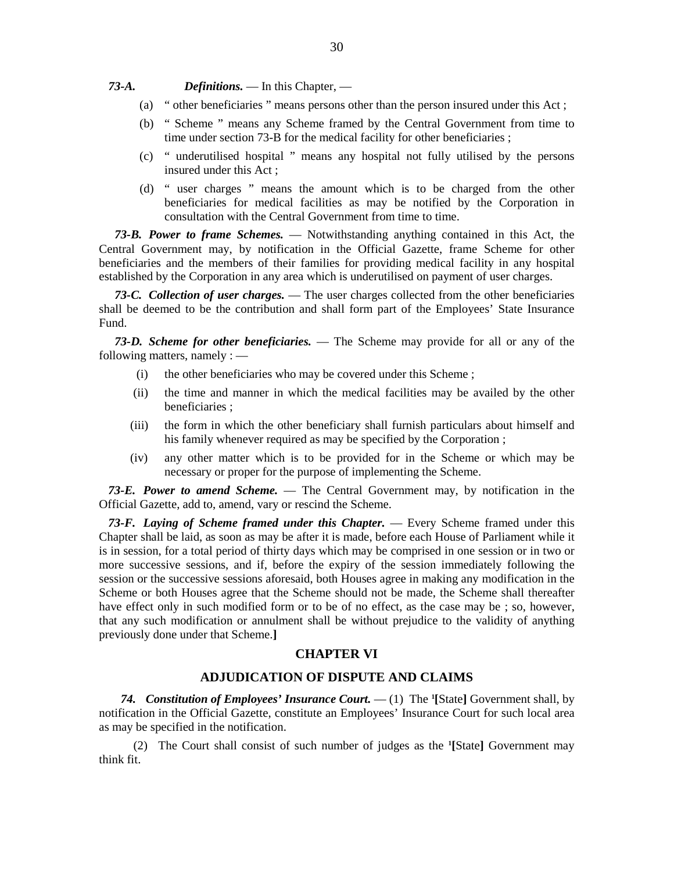*73-A. Definitions.* — In this Chapter, —

- (a) " other beneficiaries " means persons other than the person insured under this Act ;
- (b) " Scheme " means any Scheme framed by the Central Government from time to time under section 73-B for the medical facility for other beneficiaries ;
- (c) " underutilised hospital " means any hospital not fully utilised by the persons insured under this Act ;
- (d) " user charges " means the amount which is to be charged from the other beneficiaries for medical facilities as may be notified by the Corporation in consultation with the Central Government from time to time.

*73-B. Power to frame Schemes.* — Notwithstanding anything contained in this Act, the Central Government may, by notification in the Official Gazette, frame Scheme for other beneficiaries and the members of their families for providing medical facility in any hospital established by the Corporation in any area which is underutilised on payment of user charges.

*73-C. Collection of user charges.* — The user charges collected from the other beneficiaries shall be deemed to be the contribution and shall form part of the Employees' State Insurance Fund.

*73-D. Scheme for other beneficiaries.* — The Scheme may provide for all or any of the following matters, namely : —

- (i) the other beneficiaries who may be covered under this Scheme ;
- (ii) the time and manner in which the medical facilities may be availed by the other beneficiaries ;
- (iii) the form in which the other beneficiary shall furnish particulars about himself and his family whenever required as may be specified by the Corporation ;
- (iv) any other matter which is to be provided for in the Scheme or which may be necessary or proper for the purpose of implementing the Scheme.

*73-E. Power to amend Scheme.* — The Central Government may, by notification in the Official Gazette, add to, amend, vary or rescind the Scheme.

*73-F. Laying of Scheme framed under this Chapter.* — Every Scheme framed under this Chapter shall be laid, as soon as may be after it is made, before each House of Parliament while it is in session, for a total period of thirty days which may be comprised in one session or in two or more successive sessions, and if, before the expiry of the session immediately following the session or the successive sessions aforesaid, both Houses agree in making any modification in the Scheme or both Houses agree that the Scheme should not be made, the Scheme shall thereafter have effect only in such modified form or to be of no effect, as the case may be ; so, however, that any such modification or annulment shall be without prejudice to the validity of anything previously done under that Scheme.**]**

#### **CHAPTER VI**

#### **ADJUDICATION OF DISPUTE AND CLAIMS**

*74. Constitution of Employees' Insurance Court.* — (1) The **<sup>1</sup> [**State**]** Government shall, by notification in the Official Gazette, constitute an Employees' Insurance Court for such local area as may be specified in the notification.

(2) The Court shall consist of such number of judges as the **<sup>1</sup> [**State**]** Government may think fit.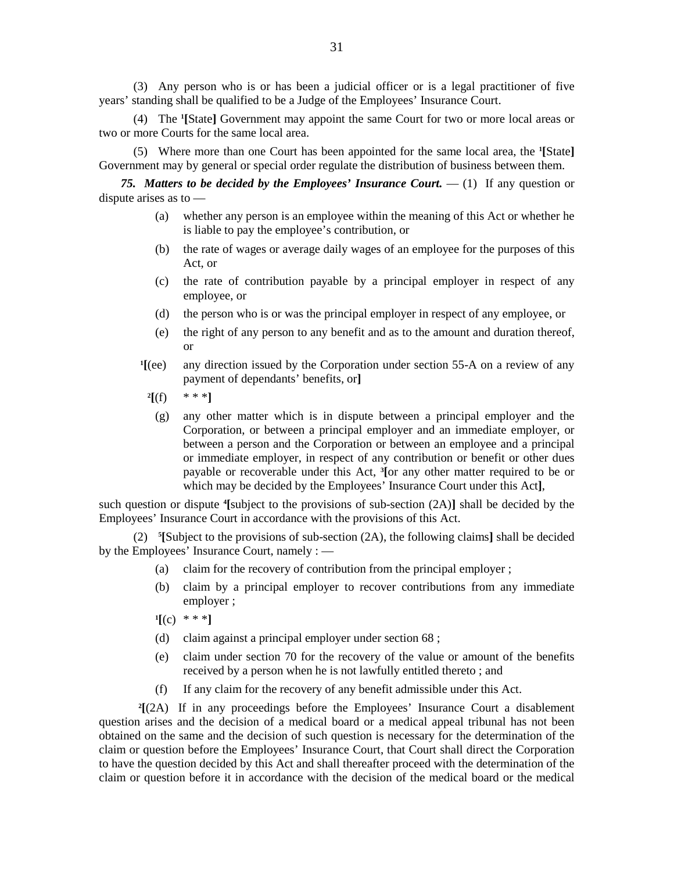(3) Any person who is or has been a judicial officer or is a legal practitioner of five years' standing shall be qualified to be a Judge of the Employees' Insurance Court.

(4) The **<sup>1</sup> [**State**]** Government may appoint the same Court for two or more local areas or two or more Courts for the same local area.

(5) Where more than one Court has been appointed for the same local area, the **<sup>1</sup> [**State**]** Government may by general or special order regulate the distribution of business between them.

75. Matters to be decided by the Employees' Insurance Court.  $-$  (1) If any question or dispute arises as to —

- (a) whether any person is an employee within the meaning of this Act or whether he is liable to pay the employee's contribution, or
- (b) the rate of wages or average daily wages of an employee for the purposes of this Act, or
- (c) the rate of contribution payable by a principal employer in respect of any employee, or
- (d) the person who is or was the principal employer in respect of any employee, or
- (e) the right of any person to any benefit and as to the amount and duration thereof, or
- $\mathbf{I}$ [(ee) any direction issued by the Corporation under section 55-A on a review of any payment of dependants' benefits, or**]**
- $^{2}$ [(f) **[**(f) \* \* \***]**
	- (g) any other matter which is in dispute between a principal employer and the Corporation, or between a principal employer and an immediate employer, or between a person and the Corporation or between an employee and a principal or immediate employer, in respect of any contribution or benefit or other dues payable or recoverable under this Act, **<sup>3</sup> [**or any other matter required to be or which may be decided by the Employees' Insurance Court under this Act**]**,

such question or dispute **<sup>4</sup> [**subject to the provisions of sub-section (2A)**]** shall be decided by the Employees' Insurance Court in accordance with the provisions of this Act.

(2) **<sup>5</sup> [**Subject to the provisions of sub-section (2A), the following claims**]** shall be decided by the Employees' Insurance Court, namely : —

- (a) claim for the recovery of contribution from the principal employer ;
- (b) claim by a principal employer to recover contributions from any immediate employer ;
- **1 [**(c) \* \* \***]**
- (d) claim against a principal employer under section 68 ;
- (e) claim under section 70 for the recovery of the value or amount of the benefits received by a person when he is not lawfully entitled thereto ; and
- (f) If any claim for the recovery of any benefit admissible under this Act.

 **2 [**(2A) If in any proceedings before the Employees' Insurance Court a disablement question arises and the decision of a medical board or a medical appeal tribunal has not been obtained on the same and the decision of such question is necessary for the determination of the claim or question before the Employees' Insurance Court, that Court shall direct the Corporation to have the question decided by this Act and shall thereafter proceed with the determination of the claim or question before it in accordance with the decision of the medical board or the medical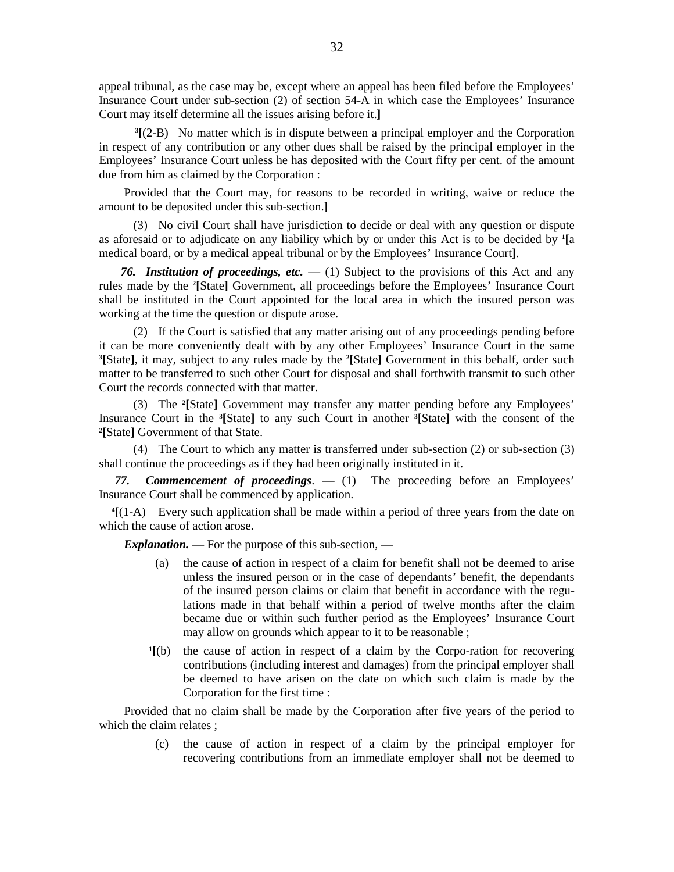appeal tribunal, as the case may be, except where an appeal has been filed before the Employees' Insurance Court under sub-section (2) of section 54-A in which case the Employees' Insurance Court may itself determine all the issues arising before it.**]**

**3 [**(2-B) No matter which is in dispute between a principal employer and the Corporation in respect of any contribution or any other dues shall be raised by the principal employer in the Employees' Insurance Court unless he has deposited with the Court fifty per cent. of the amount due from him as claimed by the Corporation :

Provided that the Court may, for reasons to be recorded in writing, waive or reduce the amount to be deposited under this sub-section.**]**

(3) No civil Court shall have jurisdiction to decide or deal with any question or dispute as aforesaid or to adjudicate on any liability which by or under this Act is to be decided by **<sup>1</sup> [**a medical board, or by a medical appeal tribunal or by the Employees' Insurance Court**]**.

*76. Institution of proceedings, etc.* — (1) Subject to the provisions of this Act and any rules made by the **<sup>2</sup> [**State**]** Government, all proceedings before the Employees' Insurance Court shall be instituted in the Court appointed for the local area in which the insured person was working at the time the question or dispute arose.

(2) If the Court is satisfied that any matter arising out of any proceedings pending before it can be more conveniently dealt with by any other Employees' Insurance Court in the same **3 [**State**]**, it may, subject to any rules made by the **<sup>2</sup> [**State**]** Government in this behalf, order such matter to be transferred to such other Court for disposal and shall forthwith transmit to such other Court the records connected with that matter.

(3) The **<sup>2</sup> [**State**]** Government may transfer any matter pending before any Employees' Insurance Court in the **<sup>3</sup> [**State**]** to any such Court in another **<sup>3</sup> [**State**]** with the consent of the **2 [**State**]** Government of that State.

(4) The Court to which any matter is transferred under sub-section (2) or sub-section (3) shall continue the proceedings as if they had been originally instituted in it.

*77. Commencement of proceedings*. — (1) The proceeding before an Employees' Insurance Court shall be commenced by application.

**4 [**(1-A) Every such application shall be made within a period of three years from the date on which the cause of action arose.

*Explanation.* — For the purpose of this sub-section, —

- (a) the cause of action in respect of a claim for benefit shall not be deemed to arise unless the insured person or in the case of dependants' benefit, the dependants of the insured person claims or claim that benefit in accordance with the regulations made in that behalf within a period of twelve months after the claim became due or within such further period as the Employees' Insurance Court may allow on grounds which appear to it to be reasonable ;
- **1 [**(b) the cause of action in respect of a claim by the Corpo-ration for recovering contributions (including interest and damages) from the principal employer shall be deemed to have arisen on the date on which such claim is made by the Corporation for the first time :

Provided that no claim shall be made by the Corporation after five years of the period to which the claim relates ;

> (c) the cause of action in respect of a claim by the principal employer for recovering contributions from an immediate employer shall not be deemed to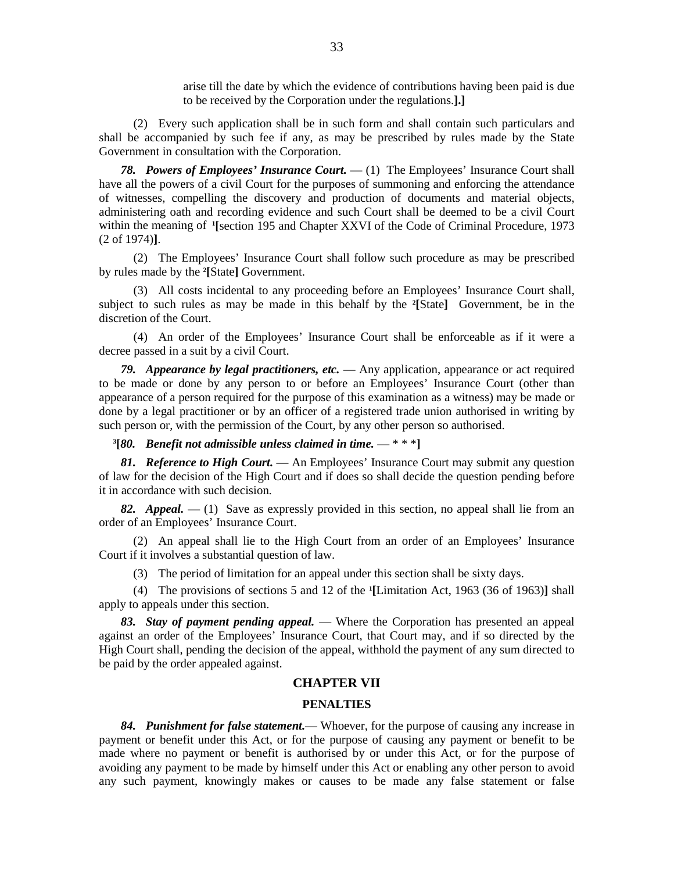arise till the date by which the evidence of contributions having been paid is due to be received by the Corporation under the regulations.**].]**

(2) Every such application shall be in such form and shall contain such particulars and shall be accompanied by such fee if any, as may be prescribed by rules made by the State Government in consultation with the Corporation.

*78. Powers of Employees' Insurance Court.* — (1) The Employees' Insurance Court shall have all the powers of a civil Court for the purposes of summoning and enforcing the attendance of witnesses, compelling the discovery and production of documents and material objects, administering oath and recording evidence and such Court shall be deemed to be a civil Court within the meaning of **<sup>1</sup> [**section 195 and Chapter XXVI of the Code of Criminal Procedure, 1973 (2 of 1974)**]**.

(2) The Employees' Insurance Court shall follow such procedure as may be prescribed by rules made by the **<sup>2</sup> [**State**]** Government.

(3) All costs incidental to any proceeding before an Employees' Insurance Court shall, subject to such rules as may be made in this behalf by the **<sup>2</sup> [**State**]** Government, be in the discretion of the Court.

(4) An order of the Employees' Insurance Court shall be enforceable as if it were a decree passed in a suit by a civil Court.

*79. Appearance by legal practitioners, etc.* — Any application, appearance or act required to be made or done by any person to or before an Employees' Insurance Court (other than appearance of a person required for the purpose of this examination as a witness) may be made or done by a legal practitioner or by an officer of a registered trade union authorised in writing by such person or, with the permission of the Court, by any other person so authorised.

**3 [***80. Benefit not admissible unless claimed in time.* — \* \* \***]**

*81. Reference to High Court.* — An Employees' Insurance Court may submit any question of law for the decision of the High Court and if does so shall decide the question pending before it in accordance with such decision.

*82. Appeal.* — (1) Save as expressly provided in this section, no appeal shall lie from an order of an Employees' Insurance Court.

(2) An appeal shall lie to the High Court from an order of an Employees' Insurance Court if it involves a substantial question of law.

(3) The period of limitation for an appeal under this section shall be sixty days.

(4) The provisions of sections 5 and 12 of the **<sup>1</sup> [**Limitation Act, 1963 (36 of 1963)**]** shall apply to appeals under this section.

*83. Stay of payment pending appeal.* — Where the Corporation has presented an appeal against an order of the Employees' Insurance Court, that Court may, and if so directed by the High Court shall, pending the decision of the appeal, withhold the payment of any sum directed to be paid by the order appealed against.

## **CHAPTER VII**

#### **PENALTIES**

*84. Punishment for false statement.*— Whoever, for the purpose of causing any increase in payment or benefit under this Act, or for the purpose of causing any payment or benefit to be made where no payment or benefit is authorised by or under this Act, or for the purpose of avoiding any payment to be made by himself under this Act or enabling any other person to avoid any such payment, knowingly makes or causes to be made any false statement or false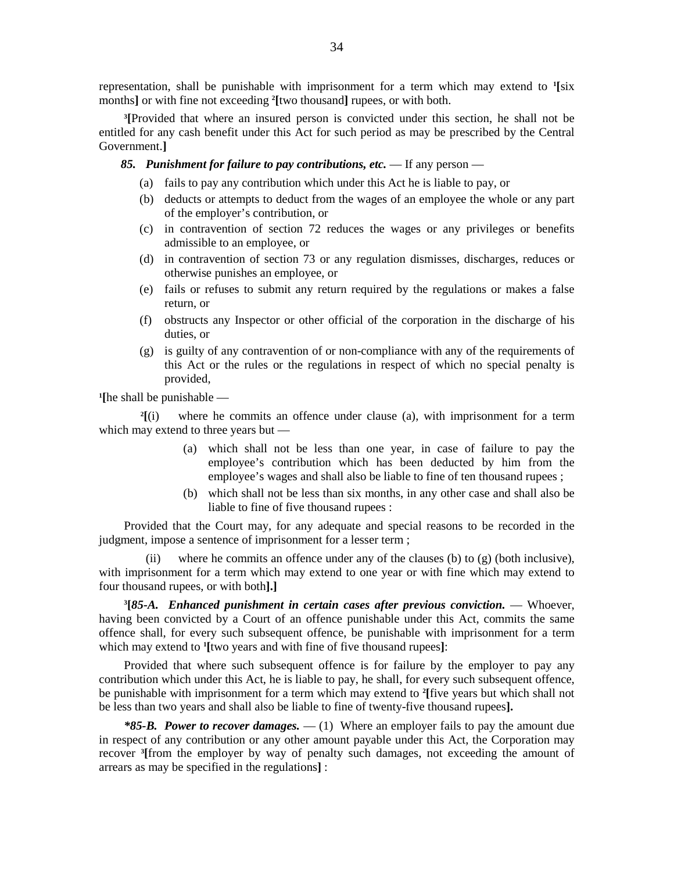representation, shall be punishable with imprisonment for a term which may extend to **<sup>1</sup> [**six months**]** or with fine not exceeding **<sup>2</sup> [**two thousand**]** rupees, or with both.

**3 [**Provided that where an insured person is convicted under this section, he shall not be entitled for any cash benefit under this Act for such period as may be prescribed by the Central Government.**]**

- *85. Punishment for failure to pay contributions, etc.* If any person
	- (a) fails to pay any contribution which under this Act he is liable to pay, or
	- (b) deducts or attempts to deduct from the wages of an employee the whole or any part of the employer's contribution, or
	- (c) in contravention of section 72 reduces the wages or any privileges or benefits admissible to an employee, or
	- (d) in contravention of section 73 or any regulation dismisses, discharges, reduces or otherwise punishes an employee, or
	- (e) fails or refuses to submit any return required by the regulations or makes a false return, or
	- (f) obstructs any Inspector or other official of the corporation in the discharge of his duties, or
	- (g) is guilty of any contravention of or non-compliance with any of the requirements of this Act or the rules or the regulations in respect of which no special penalty is provided,

**1 [**he shall be punishable —

 $^{2}$ [(i) where he commits an offence under clause (a), with imprisonment for a term which may extend to three years but —

- (a) which shall not be less than one year, in case of failure to pay the employee's contribution which has been deducted by him from the employee's wages and shall also be liable to fine of ten thousand rupees;
- (b) which shall not be less than six months, in any other case and shall also be liable to fine of five thousand rupees :

Provided that the Court may, for any adequate and special reasons to be recorded in the judgment, impose a sentence of imprisonment for a lesser term ;

(ii) where he commits an offence under any of the clauses (b) to  $(g)$  (both inclusive), with imprisonment for a term which may extend to one year or with fine which may extend to four thousand rupees, or with both**].]**

**3 [***85-A. Enhanced punishment in certain cases after previous conviction.* — Whoever, having been convicted by a Court of an offence punishable under this Act, commits the same offence shall, for every such subsequent offence, be punishable with imprisonment for a term which may extend to **<sup>1</sup> [**two years and with fine of five thousand rupees**]**:

Provided that where such subsequent offence is for failure by the employer to pay any contribution which under this Act, he is liable to pay, he shall, for every such subsequent offence, be punishable with imprisonment for a term which may extend to **<sup>2</sup> [**five years but which shall not be less than two years and shall also be liable to fine of twenty-five thousand rupees**].**

*\*85-B. Power to recover damages.* — (1) Where an employer fails to pay the amount due in respect of any contribution or any other amount payable under this Act, the Corporation may recover **<sup>3</sup> [**from the employer by way of penalty such damages, not exceeding the amount of arrears as may be specified in the regulations**]** :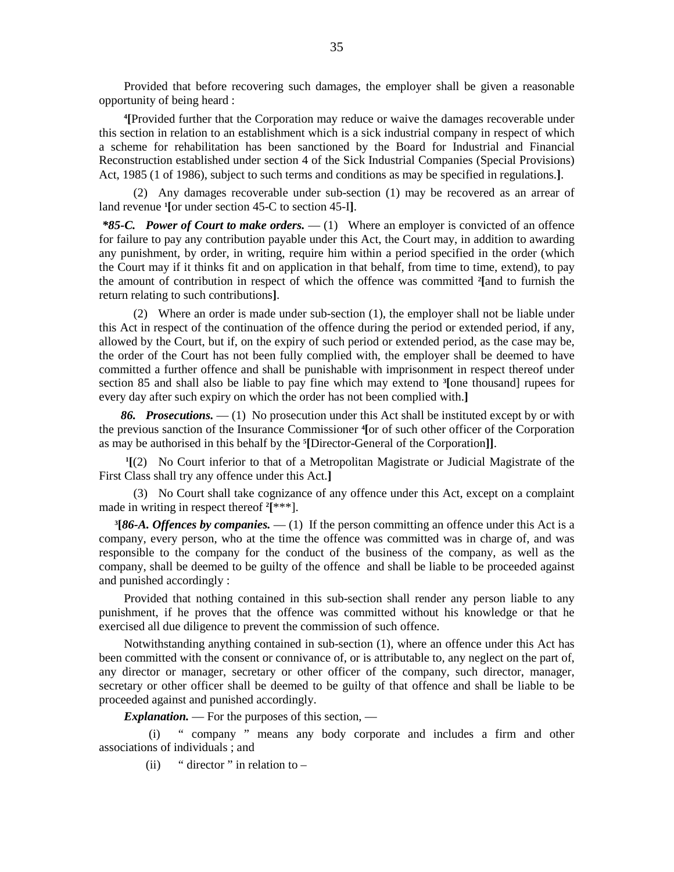Provided that before recovering such damages, the employer shall be given a reasonable opportunity of being heard :

**4 [**Provided further that the Corporation may reduce or waive the damages recoverable under this section in relation to an establishment which is a sick industrial company in respect of which a scheme for rehabilitation has been sanctioned by the Board for Industrial and Financial Reconstruction established under section 4 of the Sick Industrial Companies (Special Provisions) Act, 1985 (1 of 1986), subject to such terms and conditions as may be specified in regulations.**]**.

(2) Any damages recoverable under sub-section (1) may be recovered as an arrear of land revenue **<sup>1</sup> [**or under section 45-C to section 45-I**]**.

*\*85-C. Power of Court to make orders.* — (1) Where an employer is convicted of an offence for failure to pay any contribution payable under this Act, the Court may, in addition to awarding any punishment, by order, in writing, require him within a period specified in the order (which the Court may if it thinks fit and on application in that behalf, from time to time, extend), to pay the amount of contribution in respect of which the offence was committed **<sup>2</sup> [**and to furnish the return relating to such contributions**]**.

(2) Where an order is made under sub-section (1), the employer shall not be liable under this Act in respect of the continuation of the offence during the period or extended period, if any, allowed by the Court, but if, on the expiry of such period or extended period, as the case may be, the order of the Court has not been fully complied with, the employer shall be deemed to have committed a further offence and shall be punishable with imprisonment in respect thereof under section 85 and shall also be liable to pay fine which may extend to **<sup>3</sup> [**one thousand] rupees for every day after such expiry on which the order has not been complied with.**]**

*86. Prosecutions.* — (1) No prosecution under this Act shall be instituted except by or with the previous sanction of the Insurance Commissioner **<sup>4</sup> [**or of such other officer of the Corporation as may be authorised in this behalf by the **<sup>5</sup> [**Director-General of the Corporation**]]**.

**1 [**(2) No Court inferior to that of a Metropolitan Magistrate or Judicial Magistrate of the First Class shall try any offence under this Act.**]**

(3) No Court shall take cognizance of any offence under this Act, except on a complaint made in writing in respect thereof **<sup>2</sup> [**\*\*\*].

**3 [***86-A. Offences by companies.* — (1) If the person committing an offence under this Act is a company, every person, who at the time the offence was committed was in charge of, and was responsible to the company for the conduct of the business of the company, as well as the company, shall be deemed to be guilty of the offence and shall be liable to be proceeded against and punished accordingly :

Provided that nothing contained in this sub-section shall render any person liable to any punishment, if he proves that the offence was committed without his knowledge or that he exercised all due diligence to prevent the commission of such offence.

Notwithstanding anything contained in sub-section (1), where an offence under this Act has been committed with the consent or connivance of, or is attributable to, any neglect on the part of, any director or manager, secretary or other officer of the company, such director, manager, secretary or other officer shall be deemed to be guilty of that offence and shall be liable to be proceeded against and punished accordingly.

*Explanation.* — For the purposes of this section, —

(i) " company " means any body corporate and includes a firm and other associations of individuals ; and

(ii) " director " in relation to  $-$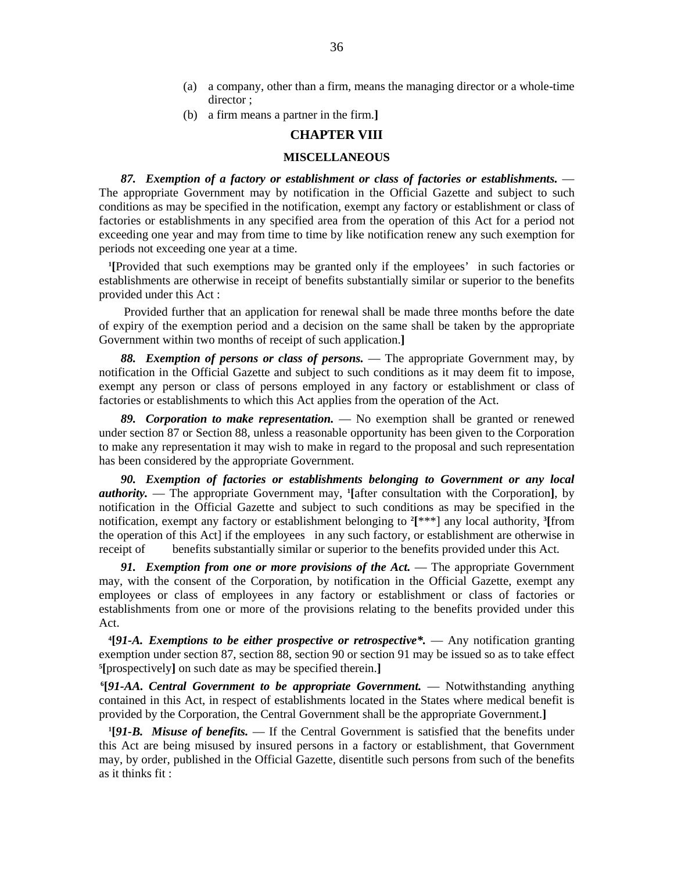- (a) a company, other than a firm, means the managing director or a whole-time director ;
- (b) a firm means a partner in the firm.**]**

## **CHAPTER VIII**

#### **MISCELLANEOUS**

*87. Exemption of a factory or establishment or class of factories or establishments.* — The appropriate Government may by notification in the Official Gazette and subject to such conditions as may be specified in the notification, exempt any factory or establishment or class of factories or establishments in any specified area from the operation of this Act for a period not exceeding one year and may from time to time by like notification renew any such exemption for periods not exceeding one year at a time.

**1 [**Provided that such exemptions may be granted only if the employees' in such factories or establishments are otherwise in receipt of benefits substantially similar or superior to the benefits provided under this Act :

Provided further that an application for renewal shall be made three months before the date of expiry of the exemption period and a decision on the same shall be taken by the appropriate Government within two months of receipt of such application.**]**

*88. Exemption of persons or class of persons.* — The appropriate Government may, by notification in the Official Gazette and subject to such conditions as it may deem fit to impose, exempt any person or class of persons employed in any factory or establishment or class of factories or establishments to which this Act applies from the operation of the Act.

*89. Corporation to make representation.* — No exemption shall be granted or renewed under section 87 or Section 88, unless a reasonable opportunity has been given to the Corporation to make any representation it may wish to make in regard to the proposal and such representation has been considered by the appropriate Government.

*90. Exemption of factories or establishments belonging to Government or any local authority.* — The appropriate Government may, **<sup>1</sup> [**after consultation with the Corporation**]**, by notification in the Official Gazette and subject to such conditions as may be specified in the notification, exempt any factory or establishment belonging to **<sup>2</sup> [**\*\*\*] any local authority, **<sup>3</sup> [**from the operation of this Act] if the employees in any such factory, or establishment are otherwise in receipt of benefits substantially similar or superior to the benefits provided under this Act.

*91. Exemption from one or more provisions of the Act.* — The appropriate Government may, with the consent of the Corporation, by notification in the Official Gazette, exempt any employees or class of employees in any factory or establishment or class of factories or establishments from one or more of the provisions relating to the benefits provided under this Act.

**4 [***91-A. Exemptions to be either prospective or retrospective\*.* — Any notification granting exemption under section 87, section 88, section 90 or section 91 may be issued so as to take effect **5 [**prospectively**]** on such date as may be specified therein.**]**

**6 [***91-AA. Central Government to be appropriate Government.* — Notwithstanding anything contained in this Act, in respect of establishments located in the States where medical benefit is provided by the Corporation, the Central Government shall be the appropriate Government.**]**

**1 [***91-B. Misuse of benefits.* — If the Central Government is satisfied that the benefits under this Act are being misused by insured persons in a factory or establishment, that Government may, by order, published in the Official Gazette, disentitle such persons from such of the benefits as it thinks fit :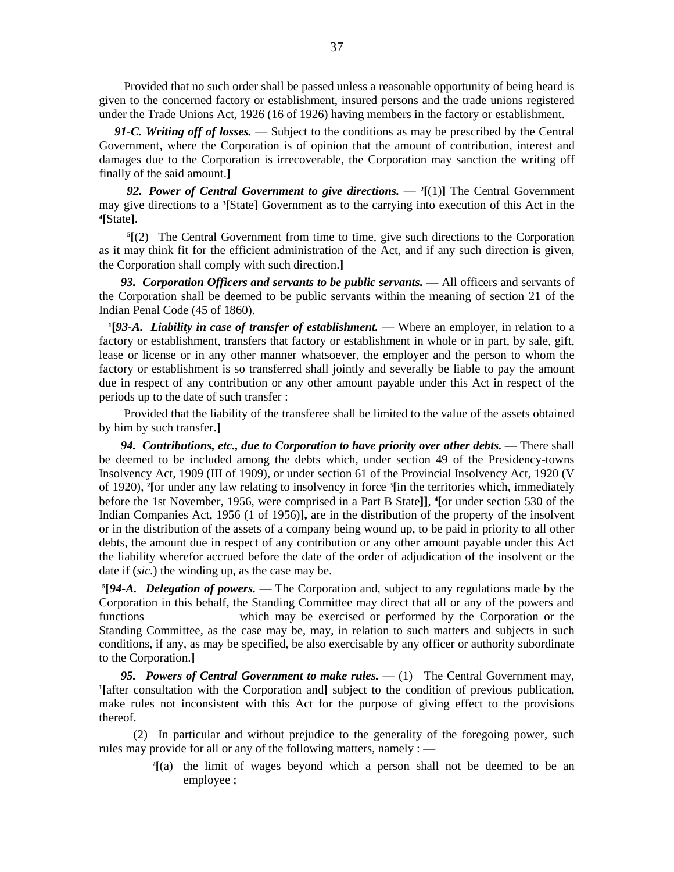Provided that no such order shall be passed unless a reasonable opportunity of being heard is given to the concerned factory or establishment, insured persons and the trade unions registered under the Trade Unions Act, 1926 (16 of 1926) having members in the factory or establishment.

 *91-C. Writing off of losses.* — Subject to the conditions as may be prescribed by the Central Government, where the Corporation is of opinion that the amount of contribution, interest and damages due to the Corporation is irrecoverable, the Corporation may sanction the writing off finally of the said amount.**]**

 *92. Power of Central Government to give directions.* — **<sup>2</sup> [**(1)**]** The Central Government may give directions to a **<sup>3</sup> [**State**]** Government as to the carrying into execution of this Act in the **4 [**State**]**.

**5 [**(2) The Central Government from time to time, give such directions to the Corporation as it may think fit for the efficient administration of the Act, and if any such direction is given, the Corporation shall comply with such direction.**]**

*93. Corporation Officers and servants to be public servants.* — All officers and servants of the Corporation shall be deemed to be public servants within the meaning of section 21 of the Indian Penal Code (45 of 1860).

**1 [***93-A. Liability in case of transfer of establishment.* — Where an employer, in relation to a factory or establishment, transfers that factory or establishment in whole or in part, by sale, gift, lease or license or in any other manner whatsoever, the employer and the person to whom the factory or establishment is so transferred shall jointly and severally be liable to pay the amount due in respect of any contribution or any other amount payable under this Act in respect of the periods up to the date of such transfer :

Provided that the liability of the transferee shall be limited to the value of the assets obtained by him by such transfer.**]**

*94. Contributions, etc., due to Corporation to have priority over other debts.* — There shall be deemed to be included among the debts which, under section 49 of the Presidency-towns Insolvency Act, 1909 (III of 1909), or under section 61 of the Provincial Insolvency Act, 1920 (V of 1920), **<sup>2</sup> [**or under any law relating to insolvency in force **<sup>3</sup> [**in the territories which, immediately before the 1st November, 1956, were comprised in a Part B State**]]**, **<sup>4</sup> [**or under section 530 of the Indian Companies Act, 1956 (1 of 1956)**],** are in the distribution of the property of the insolvent or in the distribution of the assets of a company being wound up, to be paid in priority to all other debts, the amount due in respect of any contribution or any other amount payable under this Act the liability wherefor accrued before the date of the order of adjudication of the insolvent or the date if (*sic.*) the winding up, as the case may be.

**5 [***94-A. Delegation of powers.* — The Corporation and, subject to any regulations made by the Corporation in this behalf, the Standing Committee may direct that all or any of the powers and functions which may be exercised or performed by the Corporation or the Standing Committee, as the case may be, may, in relation to such matters and subjects in such conditions, if any, as may be specified, be also exercisable by any officer or authority subordinate to the Corporation.**]**

*95. Powers of Central Government to make rules.* — (1) The Central Government may, **1 [**after consultation with the Corporation and**]** subject to the condition of previous publication, make rules not inconsistent with this Act for the purpose of giving effect to the provisions thereof.

(2) In particular and without prejudice to the generality of the foregoing power, such rules may provide for all or any of the following matters, namely : —

> **2 [**(a) the limit of wages beyond which a person shall not be deemed to be an employee ;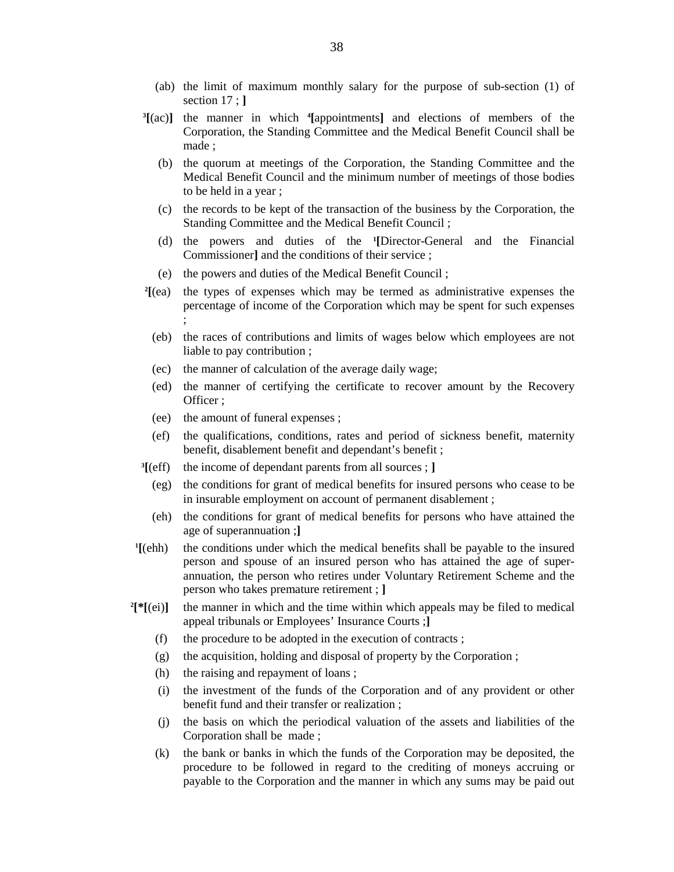- (ab) the limit of maximum monthly salary for the purpose of sub-section (1) of section 17 ; **]**
- **3 [**(ac)**]** the manner in which **<sup>4</sup> [**appointments**]** and elections of members of the Corporation, the Standing Committee and the Medical Benefit Council shall be made ;
	- (b) the quorum at meetings of the Corporation, the Standing Committee and the Medical Benefit Council and the minimum number of meetings of those bodies to be held in a year ;
	- (c) the records to be kept of the transaction of the business by the Corporation, the Standing Committee and the Medical Benefit Council ;
	- (d) the powers and duties of the **<sup>1</sup> [**Director-General and the Financial Commissioner**]** and the conditions of their service ;
	- (e) the powers and duties of the Medical Benefit Council ;
- **2 [**(ea) the types of expenses which may be termed as administrative expenses the percentage of income of the Corporation which may be spent for such expenses ;
	- (eb) the races of contributions and limits of wages below which employees are not liable to pay contribution ;
	- (ec) the manner of calculation of the average daily wage;
	- (ed) the manner of certifying the certificate to recover amount by the Recovery Officer ;
	- (ee) the amount of funeral expenses ;
	- (ef) the qualifications, conditions, rates and period of sickness benefit, maternity benefit, disablement benefit and dependant's benefit ;
- $\frac{3}{2}$  (eff) the income of dependant parents from all sources ;  $\vert$ 
	- (eg) the conditions for grant of medical benefits for insured persons who cease to be in insurable employment on account of permanent disablement ;
	- (eh) the conditions for grant of medical benefits for persons who have attained the age of superannuation ;**]**
- $\frac{1}{2}$  (ehh) **[**(ehh) the conditions under which the medical benefits shall be payable to the insured person and spouse of an insured person who has attained the age of superannuation, the person who retires under Voluntary Retirement Scheme and the person who takes premature retirement ; **]**
- $2[*(ei)]$ the manner in which and the time within which appeals may be filed to medical appeal tribunals or Employees' Insurance Courts ;**]**
	- (f) the procedure to be adopted in the execution of contracts ;
	- (g) the acquisition, holding and disposal of property by the Corporation ;
	- (h) the raising and repayment of loans ;
	- (i) the investment of the funds of the Corporation and of any provident or other benefit fund and their transfer or realization ;
	- (j) the basis on which the periodical valuation of the assets and liabilities of the Corporation shall be made ;
	- (k) the bank or banks in which the funds of the Corporation may be deposited, the procedure to be followed in regard to the crediting of moneys accruing or payable to the Corporation and the manner in which any sums may be paid out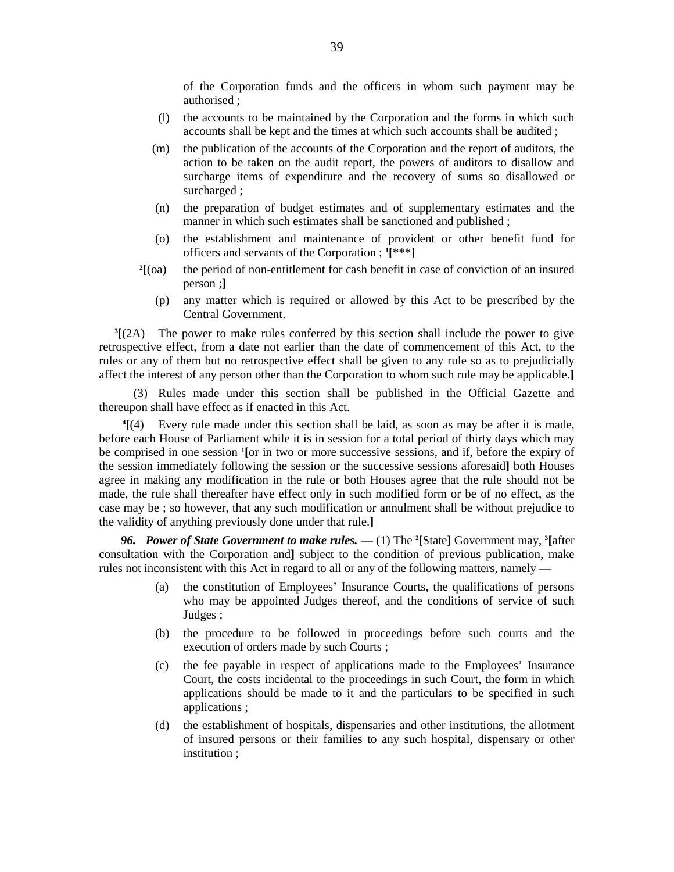of the Corporation funds and the officers in whom such payment may be authorised ;

- (l) the accounts to be maintained by the Corporation and the forms in which such accounts shall be kept and the times at which such accounts shall be audited ;
- (m) the publication of the accounts of the Corporation and the report of auditors, the action to be taken on the audit report, the powers of auditors to disallow and surcharge items of expenditure and the recovery of sums so disallowed or surcharged ;
- (n) the preparation of budget estimates and of supplementary estimates and the manner in which such estimates shall be sanctioned and published ;
- (o) the establishment and maintenance of provident or other benefit fund for officers and servants of the Corporation ; **<sup>1</sup> [**\*\*\*]
- $2\Gamma$ (oa) the period of non-entitlement for cash benefit in case of conviction of an insured person ;**]**
	- (p) any matter which is required or allowed by this Act to be prescribed by the Central Government.

**3 [**(2A) The power to make rules conferred by this section shall include the power to give retrospective effect, from a date not earlier than the date of commencement of this Act, to the rules or any of them but no retrospective effect shall be given to any rule so as to prejudicially affect the interest of any person other than the Corporation to whom such rule may be applicable.**]**

(3) Rules made under this section shall be published in the Official Gazette and thereupon shall have effect as if enacted in this Act.

**4 [**(4) Every rule made under this section shall be laid, as soon as may be after it is made, before each House of Parliament while it is in session for a total period of thirty days which may be comprised in one session **<sup>1</sup> [**or in two or more successive sessions, and if, before the expiry of the session immediately following the session or the successive sessions aforesaid**]** both Houses agree in making any modification in the rule or both Houses agree that the rule should not be made, the rule shall thereafter have effect only in such modified form or be of no effect, as the case may be ; so however, that any such modification or annulment shall be without prejudice to the validity of anything previously done under that rule.**]**

*96. Power of State Government to make rules.* — (1) The **<sup>2</sup> [**State**]** Government may, **<sup>3</sup> [**after consultation with the Corporation and**]** subject to the condition of previous publication, make rules not inconsistent with this Act in regard to all or any of the following matters, namely —

- (a) the constitution of Employees' Insurance Courts, the qualifications of persons who may be appointed Judges thereof, and the conditions of service of such Judges ;
- (b) the procedure to be followed in proceedings before such courts and the execution of orders made by such Courts ;
- (c) the fee payable in respect of applications made to the Employees' Insurance Court, the costs incidental to the proceedings in such Court, the form in which applications should be made to it and the particulars to be specified in such applications ;
- (d) the establishment of hospitals, dispensaries and other institutions, the allotment of insured persons or their families to any such hospital, dispensary or other institution ;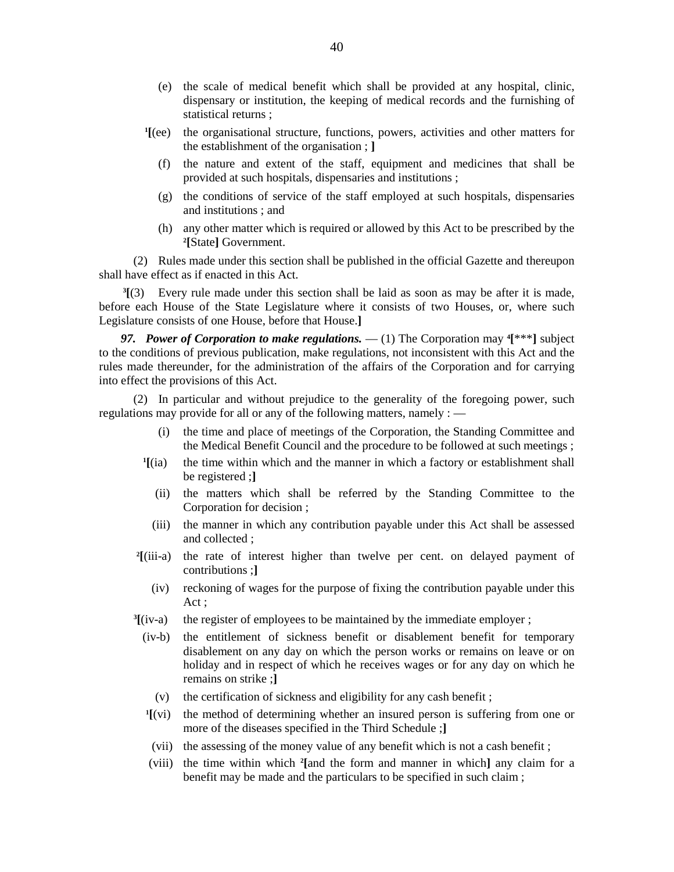- (e) the scale of medical benefit which shall be provided at any hospital, clinic, dispensary or institution, the keeping of medical records and the furnishing of statistical returns ;
- $\frac{1}{e}$  (ee) the organisational structure, functions, powers, activities and other matters for the establishment of the organisation ; **]**
	- (f) the nature and extent of the staff, equipment and medicines that shall be provided at such hospitals, dispensaries and institutions ;
	- (g) the conditions of service of the staff employed at such hospitals, dispensaries and institutions ; and
	- (h) any other matter which is required or allowed by this Act to be prescribed by the **2 [**State**]** Government.

(2) Rules made under this section shall be published in the official Gazette and thereupon shall have effect as if enacted in this Act.

 **3 [**(3) Every rule made under this section shall be laid as soon as may be after it is made, before each House of the State Legislature where it consists of two Houses, or, where such Legislature consists of one House, before that House.**]**

*97. Power of Corporation to make regulations.* — (1) The Corporation may **<sup>4</sup> [**\*\*\***]** subject to the conditions of previous publication, make regulations, not inconsistent with this Act and the rules made thereunder, for the administration of the affairs of the Corporation and for carrying into effect the provisions of this Act.

(2) In particular and without prejudice to the generality of the foregoing power, such regulations may provide for all or any of the following matters, namely : —

- (i) the time and place of meetings of the Corporation, the Standing Committee and the Medical Benefit Council and the procedure to be followed at such meetings ;
- $\mathbf{I}$ <sup>1</sup> $(ia)$ **[**(ia) the time within which and the manner in which a factory or establishment shall be registered ;**]**
	- (ii) the matters which shall be referred by the Standing Committee to the Corporation for decision ;
	- (iii) the manner in which any contribution payable under this Act shall be assessed and collected ;
- $\frac{2}{1}$ (iii-a) the rate of interest higher than twelve per cent. on delayed payment of contributions ;**]**
	- (iv) reckoning of wages for the purpose of fixing the contribution payable under this Act ;
- $^{3}$ [(**iv-a**) the register of employees to be maintained by the immediate employer;
	- (iv-b) the entitlement of sickness benefit or disablement benefit for temporary disablement on any day on which the person works or remains on leave or on holiday and in respect of which he receives wages or for any day on which he remains on strike ;**]**
		- (v) the certification of sickness and eligibility for any cash benefit ;
	- $\mathbf{1}$ [(vi) the method of determining whether an insured person is suffering from one or more of the diseases specified in the Third Schedule ;**]**
	- (vii) the assessing of the money value of any benefit which is not a cash benefit ;
	- (viii) the time within which **<sup>2</sup> [**and the form and manner in which**]** any claim for a benefit may be made and the particulars to be specified in such claim ;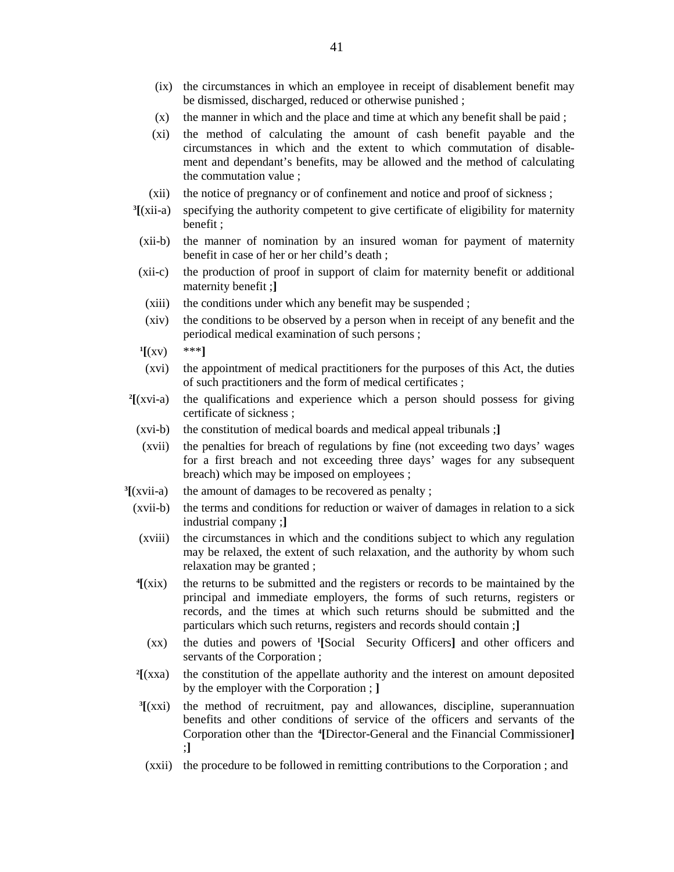- (ix) the circumstances in which an employee in receipt of disablement benefit may be dismissed, discharged, reduced or otherwise punished ;
- (x) the manner in which and the place and time at which any benefit shall be paid ;
- (xi) the method of calculating the amount of cash benefit payable and the circumstances in which and the extent to which commutation of disablement and dependant's benefits, may be allowed and the method of calculating the commutation value ;
- (xii) the notice of pregnancy or of confinement and notice and proof of sickness ;
- $\frac{3}{2}$  $(xii-a)$ specifying the authority competent to give certificate of eligibility for maternity benefit ;
- (xii-b) the manner of nomination by an insured woman for payment of maternity benefit in case of her or her child's death ;
- (xii-c) the production of proof in support of claim for maternity benefit or additional maternity benefit ;**]**
	- (xiii) the conditions under which any benefit may be suspended ;
- (xiv) the conditions to be observed by a person when in receipt of any benefit and the periodical medical examination of such persons ;
- **1 [**(xv) \*\*\***]**
- (xvi) the appointment of medical practitioners for the purposes of this Act, the duties of such practitioners and the form of medical certificates ;
- $2[(xvi-a)]$ the qualifications and experience which a person should possess for giving certificate of sickness ;
- (xvi-b) the constitution of medical boards and medical appeal tribunals ;**]**
- (xvii) the penalties for breach of regulations by fine (not exceeding two days' wages for a first breach and not exceeding three days' wages for any subsequent breach) which may be imposed on employees ;
- $\sqrt[3]{(xvii-a)}$ the amount of damages to be recovered as penalty;
	- (xvii-b) the terms and conditions for reduction or waiver of damages in relation to a sick industrial company ;**]**
	- (xviii) the circumstances in which and the conditions subject to which any regulation may be relaxed, the extent of such relaxation, and the authority by whom such relaxation may be granted ;
	- $4$  $(xix)$ the returns to be submitted and the registers or records to be maintained by the principal and immediate employers, the forms of such returns, registers or records, and the times at which such returns should be submitted and the particulars which such returns, registers and records should contain ;**]**
- (xx) the duties and powers of **<sup>1</sup> [**Social Security Officers**]** and other officers and servants of the Corporation ;
	- $2\Gamma$ (xxa) **[**(xxa) the constitution of the appellate authority and the interest on amount deposited by the employer with the Corporation ; **]**
	- $\sqrt[3]{(xxi)}$ **[**(xxi) the method of recruitment, pay and allowances, discipline, superannuation benefits and other conditions of service of the officers and servants of the Corporation other than the **<sup>4</sup> [**Director-General and the Financial Commissioner**]** ;**]**
	- (xxii) the procedure to be followed in remitting contributions to the Corporation ; and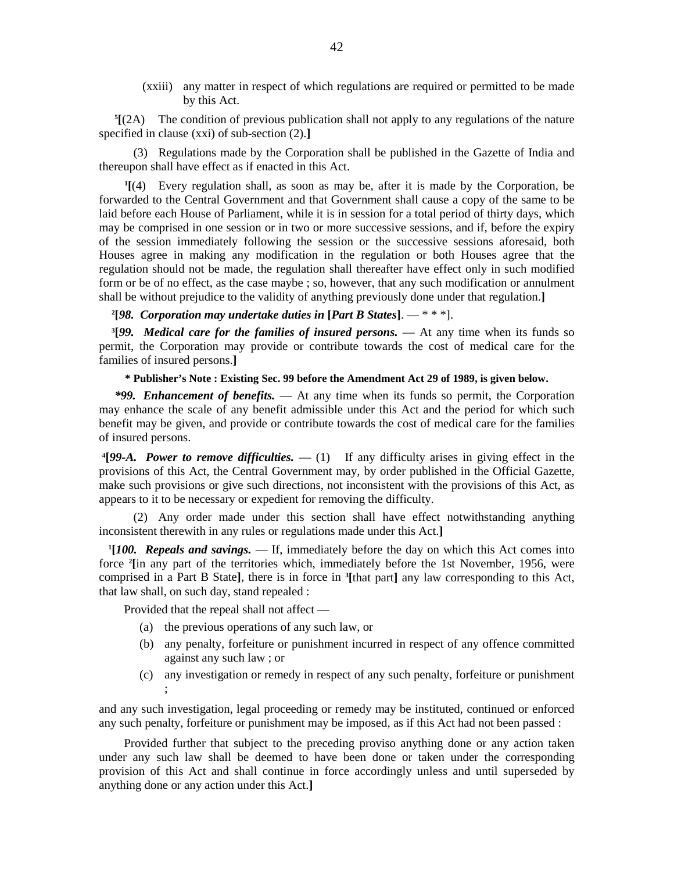(xxiii) any matter in respect of which regulations are required or permitted to be made by this Act.

**5 [**(2A) The condition of previous publication shall not apply to any regulations of the nature specified in clause (xxi) of sub-section (2).**]**

(3) Regulations made by the Corporation shall be published in the Gazette of India and thereupon shall have effect as if enacted in this Act.

 **1 [**(4) Every regulation shall, as soon as may be, after it is made by the Corporation, be forwarded to the Central Government and that Government shall cause a copy of the same to be laid before each House of Parliament, while it is in session for a total period of thirty days, which may be comprised in one session or in two or more successive sessions, and if, before the expiry of the session immediately following the session or the successive sessions aforesaid, both Houses agree in making any modification in the regulation or both Houses agree that the regulation should not be made, the regulation shall thereafter have effect only in such modified form or be of no effect, as the case maybe ; so, however, that any such modification or annulment shall be without prejudice to the validity of anything previously done under that regulation.**]**

**2 [***98. Corporation may undertake duties in* **[***Part B States***]**. — \* \* \*].

**3 [***99. Medical care for the families of insured persons.* — At any time when its funds so permit, the Corporation may provide or contribute towards the cost of medical care for the families of insured persons.**]**

**\* Publisher's Note : Existing Sec. 99 before the Amendment Act 29 of 1989, is given below.**

*\*99. Enhancement of benefits.* — At any time when its funds so permit, the Corporation may enhance the scale of any benefit admissible under this Act and the period for which such benefit may be given, and provide or contribute towards the cost of medical care for the families of insured persons.

**4 [***99-A. Power to remove difficulties.* — (1) If any difficulty arises in giving effect in the provisions of this Act, the Central Government may, by order published in the Official Gazette, make such provisions or give such directions, not inconsistent with the provisions of this Act, as appears to it to be necessary or expedient for removing the difficulty.

(2) Any order made under this section shall have effect notwithstanding anything inconsistent therewith in any rules or regulations made under this Act.**]**

**1 [***100. Repeals and savings.* — If, immediately before the day on which this Act comes into force **<sup>2</sup> [**in any part of the territories which, immediately before the 1st November, 1956, were comprised in a Part B State**]**, there is in force in **<sup>3</sup> [**that part**]** any law corresponding to this Act, that law shall, on such day, stand repealed :

Provided that the repeal shall not affect —

- (a) the previous operations of any such law, or
- (b) any penalty, forfeiture or punishment incurred in respect of any offence committed against any such law ; or
- (c) any investigation or remedy in respect of any such penalty, forfeiture or punishment ;

and any such investigation, legal proceeding or remedy may be instituted, continued or enforced any such penalty, forfeiture or punishment may be imposed, as if this Act had not been passed :

Provided further that subject to the preceding proviso anything done or any action taken under any such law shall be deemed to have been done or taken under the corresponding provision of this Act and shall continue in force accordingly unless and until superseded by anything done or any action under this Act.**]**